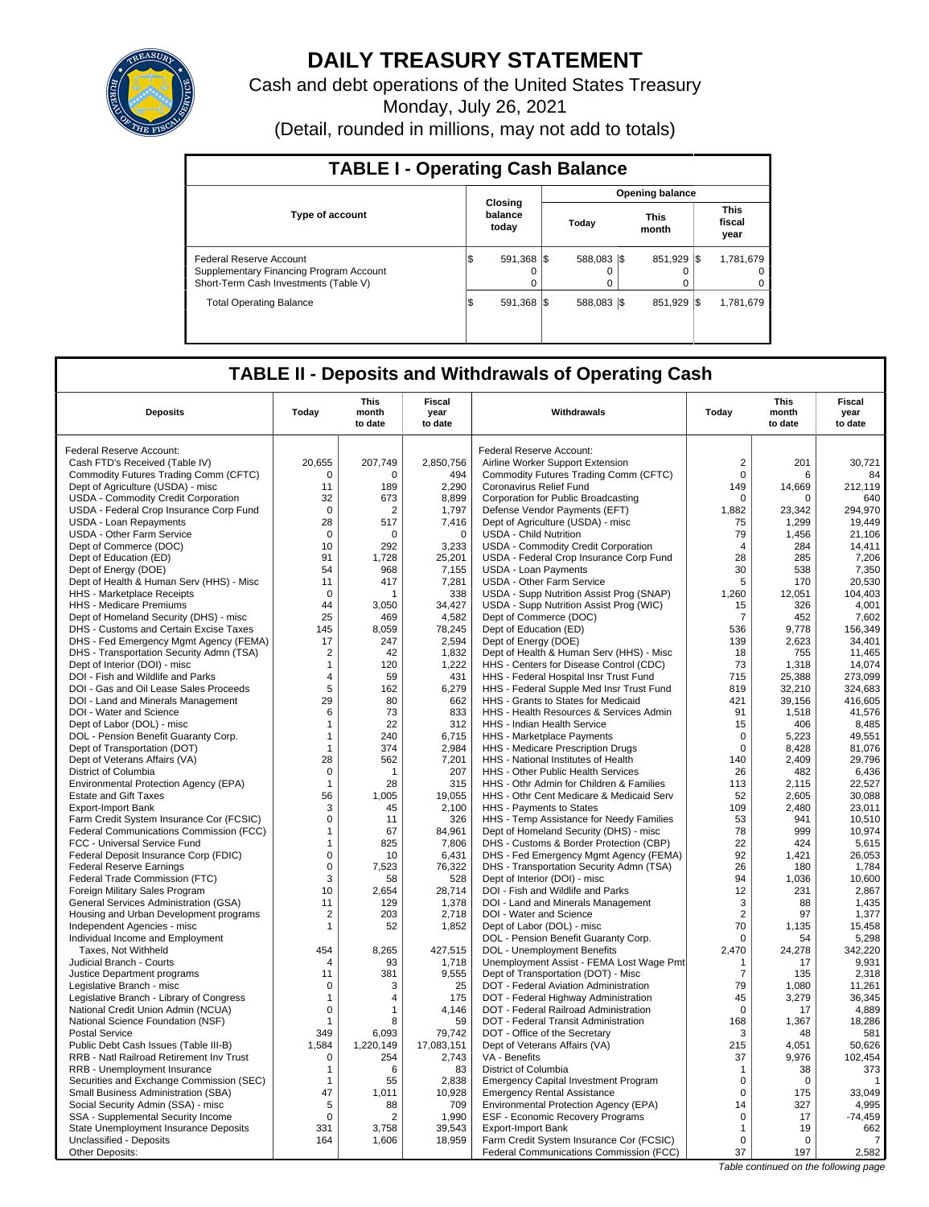

# **DAILY TREASURY STATEMENT**

Cash and debt operations of the United States Treasury

Monday, July 26, 2021

(Detail, rounded in millions, may not add to totals)

| <b>TABLE I - Operating Cash Balance</b>                                                                     |                               |                        |               |                               |  |  |  |  |  |  |
|-------------------------------------------------------------------------------------------------------------|-------------------------------|------------------------|---------------|-------------------------------|--|--|--|--|--|--|
|                                                                                                             |                               | <b>Opening balance</b> |               |                               |  |  |  |  |  |  |
| <b>Type of account</b>                                                                                      | Closina<br>balance<br>today   | Today                  | This<br>month | <b>This</b><br>fiscal<br>year |  |  |  |  |  |  |
| Federal Reserve Account<br>Supplementary Financing Program Account<br>Short-Term Cash Investments (Table V) | 591.368 \\$<br>\$<br>$\Omega$ | 588.083 \\$<br>0       | 851.929 \\$   | 1,781,679<br>0<br>0           |  |  |  |  |  |  |
| <b>Total Operating Balance</b>                                                                              | 591.368 \\$<br>\$             | 588.083 \\$            | 851.929       | 1,781,679<br>-1\$             |  |  |  |  |  |  |

## **TABLE II - Deposits and Withdrawals of Operating Cash**

| Federal Reserve Account:<br>Federal Reserve Account:<br>20,655<br>207,749<br>2,850,756<br>$\overline{c}$<br>201<br>30,721<br>Cash FTD's Received (Table IV)<br>Airline Worker Support Extension<br>$\mathbf 0$<br>Commodity Futures Trading Comm (CFTC)<br>$\mathbf 0$<br>$\Omega$<br>494<br>Commodity Futures Trading Comm (CFTC)<br>6<br>84<br>Dept of Agriculture (USDA) - misc<br>11<br>189<br>2,290<br>Coronavirus Relief Fund<br>149<br>14,669<br>212,119<br>USDA - Commodity Credit Corporation<br>32<br>673<br>8.899<br>Corporation for Public Broadcasting<br>$\mathbf 0$<br>640<br>$\Omega$<br>294,970<br>USDA - Federal Crop Insurance Corp Fund<br>$\mathbf 0$<br>1,797<br>Defense Vendor Payments (EFT)<br>1,882<br>2<br>23,342<br>28<br>517<br>Dept of Agriculture (USDA) - misc<br>1,299<br>19.449<br><b>USDA - Loan Repayments</b><br>7,416<br>75<br>79<br><b>USDA - Other Farm Service</b><br>$\mathbf 0$<br>$\mathbf 0$<br><b>USDA - Child Nutrition</b><br>21,106<br>0<br>1,456<br>Dept of Commerce (DOC)<br>10<br>292<br>3,233<br>USDA - Commodity Credit Corporation<br>$\overline{4}$<br>284<br>14,411<br>91<br>25,201<br>28<br>285<br>7,206<br>Dept of Education (ED)<br>1,728<br>USDA - Federal Crop Insurance Corp Fund<br>Dept of Energy (DOE)<br>54<br>968<br>7,155<br><b>USDA - Loan Payments</b><br>30<br>538<br>7,350<br>20,530<br>Dept of Health & Human Serv (HHS) - Misc<br>11<br>417<br>7,281<br><b>USDA - Other Farm Service</b><br>5<br>170<br>$\mathbf 0$<br>338<br>USDA - Supp Nutrition Assist Prog (SNAP)<br>1,260<br>12,051<br>104,403<br>HHS - Marketplace Receipts<br>1<br>34.427<br>USDA - Supp Nutrition Assist Prog (WIC)<br>4.001<br>HHS - Medicare Premiums<br>44<br>3.050<br>15<br>326<br>25<br>Dept of Homeland Security (DHS) - misc<br>4,582<br>Dept of Commerce (DOC)<br>$\overline{7}$<br>7,602<br>469<br>452<br>145<br>8,059<br>Dept of Education (ED)<br>156,349<br>DHS - Customs and Certain Excise Taxes<br>78,245<br>536<br>9,778<br>17<br>247<br>2,594<br>Dept of Energy (DOE)<br>139<br>2,623<br>34,401<br>DHS - Fed Emergency Mgmt Agency (FEMA)<br>DHS - Transportation Security Admn (TSA)<br>$\overline{2}$<br>1,832<br>Dept of Health & Human Serv (HHS) - Misc<br>18<br>755<br>11,465<br>42<br>73<br>14.074<br>Dept of Interior (DOI) - misc<br>$\mathbf{1}$<br>120<br>1,222<br>HHS - Centers for Disease Control (CDC)<br>1,318<br>DOI - Fish and Wildlife and Parks<br>$\overline{4}$<br>431<br>715<br>25,388<br>273,099<br>59<br>HHS - Federal Hospital Insr Trust Fund<br>5<br>DOI - Gas and Oil Lease Sales Proceeds<br>162<br>6,279<br>HHS - Federal Supple Med Insr Trust Fund<br>819<br>32,210<br>324,683<br>29<br>80<br>662<br>HHS - Grants to States for Medicaid<br>421<br>39,156<br>416,605<br>DOI - Land and Minerals Management<br>73<br>833<br>91<br>41,576<br>DOI - Water and Science<br>6<br>HHS - Health Resources & Services Admin<br>1,518<br>Dept of Labor (DOL) - misc<br>22<br>312<br>HHS - Indian Health Service<br>15<br>406<br>8,485<br>$\mathbf{1}$<br>49,551<br>DOL - Pension Benefit Guaranty Corp.<br>$\mathbf{1}$<br>240<br>6,715<br>HHS - Marketplace Payments<br>$\mathbf 0$<br>5,223<br>374<br>2,984<br>$\mathbf 0$<br>8,428<br>81,076<br>Dept of Transportation (DOT)<br>$\mathbf{1}$<br>HHS - Medicare Prescription Drugs<br>Dept of Veterans Affairs (VA)<br>28<br>562<br>7,201<br>HHS - National Institutes of Health<br>140<br>2,409<br>29,796<br>District of Columbia<br>$\mathbf 0$<br>207<br>HHS - Other Public Health Services<br>26<br>482<br>6,436<br>1<br>22.527<br>Environmental Protection Agency (EPA)<br>28<br>315<br>HHS - Othr Admin for Children & Families<br>113<br>2.115<br>$\mathbf{1}$<br><b>Estate and Gift Taxes</b><br>56<br>1,005<br>19,055<br>HHS - Othr Cent Medicare & Medicaid Serv<br>52<br>2.605<br>30,088<br>45<br>2,100<br>HHS - Payments to States<br>109<br>2.480<br>23,011<br><b>Export-Import Bank</b><br>3<br>$\mathbf 0$<br>53<br>10,510<br>Farm Credit System Insurance Cor (FCSIC)<br>11<br>326<br>HHS - Temp Assistance for Needy Families<br>941<br>78<br>67<br>Dept of Homeland Security (DHS) - misc<br>999<br>10,974<br>Federal Communications Commission (FCC)<br>$\mathbf{1}$<br>84,961<br>825<br>7,806<br>DHS - Customs & Border Protection (CBP)<br>22<br>424<br>5,615<br>FCC - Universal Service Fund<br>$\mathbf{1}$<br>92<br>$\mathbf 0$<br>26,053<br>Federal Deposit Insurance Corp (FDIC)<br>10<br>6,431<br>DHS - Fed Emergency Mgmt Agency (FEMA)<br>1,421<br>$\mathsf 0$<br>7,523<br>76,322<br>DHS - Transportation Security Admn (TSA)<br>26<br>180<br>1,784<br><b>Federal Reserve Earnings</b><br>Federal Trade Commission (FTC)<br>3<br>58<br>528<br>Dept of Interior (DOI) - misc<br>94<br>1,036<br>10,600<br>12<br>2,867<br>10<br>2,654<br>231<br>Foreign Military Sales Program<br>28,714<br>DOI - Fish and Wildlife and Parks<br>1,378<br>3<br>1,435<br>General Services Administration (GSA)<br>11<br>129<br>DOI - Land and Minerals Management<br>88<br>$\overline{2}$<br>$\overline{2}$<br>203<br>2,718<br>97<br>1,377<br>Housing and Urban Development programs<br>DOI - Water and Science<br>70<br>15,458<br>Independent Agencies - misc<br>$\mathbf{1}$<br>52<br>1,852<br>Dept of Labor (DOL) - misc<br>1,135<br>5,298<br>DOL - Pension Benefit Guaranty Corp.<br>$\Omega$<br>Individual Income and Employment<br>54<br>454<br>8,265<br>427,515<br>2,470<br>24,278<br>342,220<br>Taxes, Not Withheld<br>DOL - Unemployment Benefits<br>Judicial Branch - Courts<br>93<br>1,718<br>Unemployment Assist - FEMA Lost Wage Pmt<br>17<br>9,931<br>$\Delta$<br>$\mathbf{1}$<br>11<br>381<br>9,555<br>$\overline{7}$<br>2,318<br>Justice Department programs<br>Dept of Transportation (DOT) - Misc<br>135<br>$\mathbf 0$<br>3<br>25<br>DOT - Federal Aviation Administration<br>79<br>1,080<br>11,261<br>Legislative Branch - misc<br>175<br>DOT - Federal Highway Administration<br>45<br>3,279<br>36,345<br>Legislative Branch - Library of Congress<br>$\mathbf{1}$<br>4<br>4,146<br>4,889<br>National Credit Union Admin (NCUA)<br>$\mathbf 0$<br>DOT - Federal Railroad Administration<br>$\Omega$<br>17<br>1<br>59<br>DOT - Federal Transit Administration<br>168<br>18,286<br>National Science Foundation (NSF)<br>$\mathbf{1}$<br>8<br>1,367<br><b>Postal Service</b><br>349<br>6,093<br>79,742<br>DOT - Office of the Secretary<br>3<br>48<br>581<br>Public Debt Cash Issues (Table III-B)<br>1,584<br>17,083,151<br>Dept of Veterans Affairs (VA)<br>215<br>4,051<br>50,626<br>1,220,149<br>$\mathbf 0$<br>254<br>2,743<br>VA - Benefits<br>37<br>9,976<br>102,454<br>RRB - Natl Railroad Retirement Inv Trust<br>RRB - Unemployment Insurance<br>6<br>83<br>District of Columbia<br>38<br>373<br>$\mathbf{1}$<br>$\mathbf{1}$<br>$\mathbf 0$<br>2,838<br>Securities and Exchange Commission (SEC)<br>$\mathbf{1}$<br>55<br><b>Emergency Capital Investment Program</b><br>$\mathbf 0$<br>1<br>Small Business Administration (SBA)<br>47<br>10,928<br><b>Emergency Rental Assistance</b><br>$\mathbf 0$<br>33,049<br>1,011<br>175<br>4,995<br>5<br>709<br>14<br>327<br>Social Security Admin (SSA) - misc<br>88<br>Environmental Protection Agency (EPA)<br>$-74,459$<br>SSA - Supplemental Security Income<br>$\mathbf 0$<br>$\overline{2}$<br>1,990<br>ESF - Economic Recovery Programs<br>0<br>17<br>19<br>662<br>State Unemployment Insurance Deposits<br>331<br>3,758<br>39,543<br>Export-Import Bank<br>1<br>Unclassified - Deposits<br>164<br>1,606<br>18,959<br>$\mathbf 0$<br>$\Omega$<br>Farm Credit System Insurance Cor (FCSIC)<br>7 | <b>Deposits</b> | Today | This<br>month<br>to date | Fiscal<br>year<br>to date | Withdrawals                             | Today | <b>This</b><br>month<br>to date | <b>Fiscal</b><br>year<br>to date |
|------------------------------------------------------------------------------------------------------------------------------------------------------------------------------------------------------------------------------------------------------------------------------------------------------------------------------------------------------------------------------------------------------------------------------------------------------------------------------------------------------------------------------------------------------------------------------------------------------------------------------------------------------------------------------------------------------------------------------------------------------------------------------------------------------------------------------------------------------------------------------------------------------------------------------------------------------------------------------------------------------------------------------------------------------------------------------------------------------------------------------------------------------------------------------------------------------------------------------------------------------------------------------------------------------------------------------------------------------------------------------------------------------------------------------------------------------------------------------------------------------------------------------------------------------------------------------------------------------------------------------------------------------------------------------------------------------------------------------------------------------------------------------------------------------------------------------------------------------------------------------------------------------------------------------------------------------------------------------------------------------------------------------------------------------------------------------------------------------------------------------------------------------------------------------------------------------------------------------------------------------------------------------------------------------------------------------------------------------------------------------------------------------------------------------------------------------------------------------------------------------------------------------------------------------------------------------------------------------------------------------------------------------------------------------------------------------------------------------------------------------------------------------------------------------------------------------------------------------------------------------------------------------------------------------------------------------------------------------------------------------------------------------------------------------------------------------------------------------------------------------------------------------------------------------------------------------------------------------------------------------------------------------------------------------------------------------------------------------------------------------------------------------------------------------------------------------------------------------------------------------------------------------------------------------------------------------------------------------------------------------------------------------------------------------------------------------------------------------------------------------------------------------------------------------------------------------------------------------------------------------------------------------------------------------------------------------------------------------------------------------------------------------------------------------------------------------------------------------------------------------------------------------------------------------------------------------------------------------------------------------------------------------------------------------------------------------------------------------------------------------------------------------------------------------------------------------------------------------------------------------------------------------------------------------------------------------------------------------------------------------------------------------------------------------------------------------------------------------------------------------------------------------------------------------------------------------------------------------------------------------------------------------------------------------------------------------------------------------------------------------------------------------------------------------------------------------------------------------------------------------------------------------------------------------------------------------------------------------------------------------------------------------------------------------------------------------------------------------------------------------------------------------------------------------------------------------------------------------------------------------------------------------------------------------------------------------------------------------------------------------------------------------------------------------------------------------------------------------------------------------------------------------------------------------------------------------------------------------------------------------------------------------------------------------------------------------------------------------------------------------------------------------------------------------------------------------------------------------------------------------------------------------------------------------------------------------------------------------------------------------------------------------------------------------------------------------------------------------------------------------------------------------------------------------------------------------------------------------------------------------------------------------------------------------------------------------------------------------------------------------------------------------------------------------------------------------------------------------------------------------------------------------------------------------------------------------------------------------------------------------------------------------------------------------------------------------------------------------------------------------------------------------------------------------------------------------------------------------------------------------------------------------------------------------------------------------------------------------------------------------------------------------------------------------------------------------------------------------------------------------------------------------------------------------------------------------------------------------------------------------------------------------------------------------------------------------------------------------------------------------------|-----------------|-------|--------------------------|---------------------------|-----------------------------------------|-------|---------------------------------|----------------------------------|
|                                                                                                                                                                                                                                                                                                                                                                                                                                                                                                                                                                                                                                                                                                                                                                                                                                                                                                                                                                                                                                                                                                                                                                                                                                                                                                                                                                                                                                                                                                                                                                                                                                                                                                                                                                                                                                                                                                                                                                                                                                                                                                                                                                                                                                                                                                                                                                                                                                                                                                                                                                                                                                                                                                                                                                                                                                                                                                                                                                                                                                                                                                                                                                                                                                                                                                                                                                                                                                                                                                                                                                                                                                                                                                                                                                                                                                                                                                                                                                                                                                                                                                                                                                                                                                                                                                                                                                                                                                                                                                                                                                                                                                                                                                                                                                                                                                                                                                                                                                                                                                                                                                                                                                                                                                                                                                                                                                                                                                                                                                                                                                                                                                                                                                                                                                                                                                                                                                                                                                                                                                                                                                                                                                                                                                                                                                                                                                                                                                                                                                                                                                                                                                                                                                                                                                                                                                                                                                                                                                                                                                                                                                                                                                                                                                                                                                                                                                                                                                                                                                                                                                                                                                    |                 |       |                          |                           |                                         |       |                                 |                                  |
|                                                                                                                                                                                                                                                                                                                                                                                                                                                                                                                                                                                                                                                                                                                                                                                                                                                                                                                                                                                                                                                                                                                                                                                                                                                                                                                                                                                                                                                                                                                                                                                                                                                                                                                                                                                                                                                                                                                                                                                                                                                                                                                                                                                                                                                                                                                                                                                                                                                                                                                                                                                                                                                                                                                                                                                                                                                                                                                                                                                                                                                                                                                                                                                                                                                                                                                                                                                                                                                                                                                                                                                                                                                                                                                                                                                                                                                                                                                                                                                                                                                                                                                                                                                                                                                                                                                                                                                                                                                                                                                                                                                                                                                                                                                                                                                                                                                                                                                                                                                                                                                                                                                                                                                                                                                                                                                                                                                                                                                                                                                                                                                                                                                                                                                                                                                                                                                                                                                                                                                                                                                                                                                                                                                                                                                                                                                                                                                                                                                                                                                                                                                                                                                                                                                                                                                                                                                                                                                                                                                                                                                                                                                                                                                                                                                                                                                                                                                                                                                                                                                                                                                                                                    |                 |       |                          |                           |                                         |       |                                 |                                  |
|                                                                                                                                                                                                                                                                                                                                                                                                                                                                                                                                                                                                                                                                                                                                                                                                                                                                                                                                                                                                                                                                                                                                                                                                                                                                                                                                                                                                                                                                                                                                                                                                                                                                                                                                                                                                                                                                                                                                                                                                                                                                                                                                                                                                                                                                                                                                                                                                                                                                                                                                                                                                                                                                                                                                                                                                                                                                                                                                                                                                                                                                                                                                                                                                                                                                                                                                                                                                                                                                                                                                                                                                                                                                                                                                                                                                                                                                                                                                                                                                                                                                                                                                                                                                                                                                                                                                                                                                                                                                                                                                                                                                                                                                                                                                                                                                                                                                                                                                                                                                                                                                                                                                                                                                                                                                                                                                                                                                                                                                                                                                                                                                                                                                                                                                                                                                                                                                                                                                                                                                                                                                                                                                                                                                                                                                                                                                                                                                                                                                                                                                                                                                                                                                                                                                                                                                                                                                                                                                                                                                                                                                                                                                                                                                                                                                                                                                                                                                                                                                                                                                                                                                                                    |                 |       |                          |                           |                                         |       |                                 |                                  |
|                                                                                                                                                                                                                                                                                                                                                                                                                                                                                                                                                                                                                                                                                                                                                                                                                                                                                                                                                                                                                                                                                                                                                                                                                                                                                                                                                                                                                                                                                                                                                                                                                                                                                                                                                                                                                                                                                                                                                                                                                                                                                                                                                                                                                                                                                                                                                                                                                                                                                                                                                                                                                                                                                                                                                                                                                                                                                                                                                                                                                                                                                                                                                                                                                                                                                                                                                                                                                                                                                                                                                                                                                                                                                                                                                                                                                                                                                                                                                                                                                                                                                                                                                                                                                                                                                                                                                                                                                                                                                                                                                                                                                                                                                                                                                                                                                                                                                                                                                                                                                                                                                                                                                                                                                                                                                                                                                                                                                                                                                                                                                                                                                                                                                                                                                                                                                                                                                                                                                                                                                                                                                                                                                                                                                                                                                                                                                                                                                                                                                                                                                                                                                                                                                                                                                                                                                                                                                                                                                                                                                                                                                                                                                                                                                                                                                                                                                                                                                                                                                                                                                                                                                                    |                 |       |                          |                           |                                         |       |                                 |                                  |
|                                                                                                                                                                                                                                                                                                                                                                                                                                                                                                                                                                                                                                                                                                                                                                                                                                                                                                                                                                                                                                                                                                                                                                                                                                                                                                                                                                                                                                                                                                                                                                                                                                                                                                                                                                                                                                                                                                                                                                                                                                                                                                                                                                                                                                                                                                                                                                                                                                                                                                                                                                                                                                                                                                                                                                                                                                                                                                                                                                                                                                                                                                                                                                                                                                                                                                                                                                                                                                                                                                                                                                                                                                                                                                                                                                                                                                                                                                                                                                                                                                                                                                                                                                                                                                                                                                                                                                                                                                                                                                                                                                                                                                                                                                                                                                                                                                                                                                                                                                                                                                                                                                                                                                                                                                                                                                                                                                                                                                                                                                                                                                                                                                                                                                                                                                                                                                                                                                                                                                                                                                                                                                                                                                                                                                                                                                                                                                                                                                                                                                                                                                                                                                                                                                                                                                                                                                                                                                                                                                                                                                                                                                                                                                                                                                                                                                                                                                                                                                                                                                                                                                                                                                    |                 |       |                          |                           |                                         |       |                                 |                                  |
|                                                                                                                                                                                                                                                                                                                                                                                                                                                                                                                                                                                                                                                                                                                                                                                                                                                                                                                                                                                                                                                                                                                                                                                                                                                                                                                                                                                                                                                                                                                                                                                                                                                                                                                                                                                                                                                                                                                                                                                                                                                                                                                                                                                                                                                                                                                                                                                                                                                                                                                                                                                                                                                                                                                                                                                                                                                                                                                                                                                                                                                                                                                                                                                                                                                                                                                                                                                                                                                                                                                                                                                                                                                                                                                                                                                                                                                                                                                                                                                                                                                                                                                                                                                                                                                                                                                                                                                                                                                                                                                                                                                                                                                                                                                                                                                                                                                                                                                                                                                                                                                                                                                                                                                                                                                                                                                                                                                                                                                                                                                                                                                                                                                                                                                                                                                                                                                                                                                                                                                                                                                                                                                                                                                                                                                                                                                                                                                                                                                                                                                                                                                                                                                                                                                                                                                                                                                                                                                                                                                                                                                                                                                                                                                                                                                                                                                                                                                                                                                                                                                                                                                                                                    |                 |       |                          |                           |                                         |       |                                 |                                  |
|                                                                                                                                                                                                                                                                                                                                                                                                                                                                                                                                                                                                                                                                                                                                                                                                                                                                                                                                                                                                                                                                                                                                                                                                                                                                                                                                                                                                                                                                                                                                                                                                                                                                                                                                                                                                                                                                                                                                                                                                                                                                                                                                                                                                                                                                                                                                                                                                                                                                                                                                                                                                                                                                                                                                                                                                                                                                                                                                                                                                                                                                                                                                                                                                                                                                                                                                                                                                                                                                                                                                                                                                                                                                                                                                                                                                                                                                                                                                                                                                                                                                                                                                                                                                                                                                                                                                                                                                                                                                                                                                                                                                                                                                                                                                                                                                                                                                                                                                                                                                                                                                                                                                                                                                                                                                                                                                                                                                                                                                                                                                                                                                                                                                                                                                                                                                                                                                                                                                                                                                                                                                                                                                                                                                                                                                                                                                                                                                                                                                                                                                                                                                                                                                                                                                                                                                                                                                                                                                                                                                                                                                                                                                                                                                                                                                                                                                                                                                                                                                                                                                                                                                                                    |                 |       |                          |                           |                                         |       |                                 |                                  |
|                                                                                                                                                                                                                                                                                                                                                                                                                                                                                                                                                                                                                                                                                                                                                                                                                                                                                                                                                                                                                                                                                                                                                                                                                                                                                                                                                                                                                                                                                                                                                                                                                                                                                                                                                                                                                                                                                                                                                                                                                                                                                                                                                                                                                                                                                                                                                                                                                                                                                                                                                                                                                                                                                                                                                                                                                                                                                                                                                                                                                                                                                                                                                                                                                                                                                                                                                                                                                                                                                                                                                                                                                                                                                                                                                                                                                                                                                                                                                                                                                                                                                                                                                                                                                                                                                                                                                                                                                                                                                                                                                                                                                                                                                                                                                                                                                                                                                                                                                                                                                                                                                                                                                                                                                                                                                                                                                                                                                                                                                                                                                                                                                                                                                                                                                                                                                                                                                                                                                                                                                                                                                                                                                                                                                                                                                                                                                                                                                                                                                                                                                                                                                                                                                                                                                                                                                                                                                                                                                                                                                                                                                                                                                                                                                                                                                                                                                                                                                                                                                                                                                                                                                                    |                 |       |                          |                           |                                         |       |                                 |                                  |
|                                                                                                                                                                                                                                                                                                                                                                                                                                                                                                                                                                                                                                                                                                                                                                                                                                                                                                                                                                                                                                                                                                                                                                                                                                                                                                                                                                                                                                                                                                                                                                                                                                                                                                                                                                                                                                                                                                                                                                                                                                                                                                                                                                                                                                                                                                                                                                                                                                                                                                                                                                                                                                                                                                                                                                                                                                                                                                                                                                                                                                                                                                                                                                                                                                                                                                                                                                                                                                                                                                                                                                                                                                                                                                                                                                                                                                                                                                                                                                                                                                                                                                                                                                                                                                                                                                                                                                                                                                                                                                                                                                                                                                                                                                                                                                                                                                                                                                                                                                                                                                                                                                                                                                                                                                                                                                                                                                                                                                                                                                                                                                                                                                                                                                                                                                                                                                                                                                                                                                                                                                                                                                                                                                                                                                                                                                                                                                                                                                                                                                                                                                                                                                                                                                                                                                                                                                                                                                                                                                                                                                                                                                                                                                                                                                                                                                                                                                                                                                                                                                                                                                                                                                    |                 |       |                          |                           |                                         |       |                                 |                                  |
|                                                                                                                                                                                                                                                                                                                                                                                                                                                                                                                                                                                                                                                                                                                                                                                                                                                                                                                                                                                                                                                                                                                                                                                                                                                                                                                                                                                                                                                                                                                                                                                                                                                                                                                                                                                                                                                                                                                                                                                                                                                                                                                                                                                                                                                                                                                                                                                                                                                                                                                                                                                                                                                                                                                                                                                                                                                                                                                                                                                                                                                                                                                                                                                                                                                                                                                                                                                                                                                                                                                                                                                                                                                                                                                                                                                                                                                                                                                                                                                                                                                                                                                                                                                                                                                                                                                                                                                                                                                                                                                                                                                                                                                                                                                                                                                                                                                                                                                                                                                                                                                                                                                                                                                                                                                                                                                                                                                                                                                                                                                                                                                                                                                                                                                                                                                                                                                                                                                                                                                                                                                                                                                                                                                                                                                                                                                                                                                                                                                                                                                                                                                                                                                                                                                                                                                                                                                                                                                                                                                                                                                                                                                                                                                                                                                                                                                                                                                                                                                                                                                                                                                                                                    |                 |       |                          |                           |                                         |       |                                 |                                  |
|                                                                                                                                                                                                                                                                                                                                                                                                                                                                                                                                                                                                                                                                                                                                                                                                                                                                                                                                                                                                                                                                                                                                                                                                                                                                                                                                                                                                                                                                                                                                                                                                                                                                                                                                                                                                                                                                                                                                                                                                                                                                                                                                                                                                                                                                                                                                                                                                                                                                                                                                                                                                                                                                                                                                                                                                                                                                                                                                                                                                                                                                                                                                                                                                                                                                                                                                                                                                                                                                                                                                                                                                                                                                                                                                                                                                                                                                                                                                                                                                                                                                                                                                                                                                                                                                                                                                                                                                                                                                                                                                                                                                                                                                                                                                                                                                                                                                                                                                                                                                                                                                                                                                                                                                                                                                                                                                                                                                                                                                                                                                                                                                                                                                                                                                                                                                                                                                                                                                                                                                                                                                                                                                                                                                                                                                                                                                                                                                                                                                                                                                                                                                                                                                                                                                                                                                                                                                                                                                                                                                                                                                                                                                                                                                                                                                                                                                                                                                                                                                                                                                                                                                                                    |                 |       |                          |                           |                                         |       |                                 |                                  |
|                                                                                                                                                                                                                                                                                                                                                                                                                                                                                                                                                                                                                                                                                                                                                                                                                                                                                                                                                                                                                                                                                                                                                                                                                                                                                                                                                                                                                                                                                                                                                                                                                                                                                                                                                                                                                                                                                                                                                                                                                                                                                                                                                                                                                                                                                                                                                                                                                                                                                                                                                                                                                                                                                                                                                                                                                                                                                                                                                                                                                                                                                                                                                                                                                                                                                                                                                                                                                                                                                                                                                                                                                                                                                                                                                                                                                                                                                                                                                                                                                                                                                                                                                                                                                                                                                                                                                                                                                                                                                                                                                                                                                                                                                                                                                                                                                                                                                                                                                                                                                                                                                                                                                                                                                                                                                                                                                                                                                                                                                                                                                                                                                                                                                                                                                                                                                                                                                                                                                                                                                                                                                                                                                                                                                                                                                                                                                                                                                                                                                                                                                                                                                                                                                                                                                                                                                                                                                                                                                                                                                                                                                                                                                                                                                                                                                                                                                                                                                                                                                                                                                                                                                                    |                 |       |                          |                           |                                         |       |                                 |                                  |
|                                                                                                                                                                                                                                                                                                                                                                                                                                                                                                                                                                                                                                                                                                                                                                                                                                                                                                                                                                                                                                                                                                                                                                                                                                                                                                                                                                                                                                                                                                                                                                                                                                                                                                                                                                                                                                                                                                                                                                                                                                                                                                                                                                                                                                                                                                                                                                                                                                                                                                                                                                                                                                                                                                                                                                                                                                                                                                                                                                                                                                                                                                                                                                                                                                                                                                                                                                                                                                                                                                                                                                                                                                                                                                                                                                                                                                                                                                                                                                                                                                                                                                                                                                                                                                                                                                                                                                                                                                                                                                                                                                                                                                                                                                                                                                                                                                                                                                                                                                                                                                                                                                                                                                                                                                                                                                                                                                                                                                                                                                                                                                                                                                                                                                                                                                                                                                                                                                                                                                                                                                                                                                                                                                                                                                                                                                                                                                                                                                                                                                                                                                                                                                                                                                                                                                                                                                                                                                                                                                                                                                                                                                                                                                                                                                                                                                                                                                                                                                                                                                                                                                                                                                    |                 |       |                          |                           |                                         |       |                                 |                                  |
|                                                                                                                                                                                                                                                                                                                                                                                                                                                                                                                                                                                                                                                                                                                                                                                                                                                                                                                                                                                                                                                                                                                                                                                                                                                                                                                                                                                                                                                                                                                                                                                                                                                                                                                                                                                                                                                                                                                                                                                                                                                                                                                                                                                                                                                                                                                                                                                                                                                                                                                                                                                                                                                                                                                                                                                                                                                                                                                                                                                                                                                                                                                                                                                                                                                                                                                                                                                                                                                                                                                                                                                                                                                                                                                                                                                                                                                                                                                                                                                                                                                                                                                                                                                                                                                                                                                                                                                                                                                                                                                                                                                                                                                                                                                                                                                                                                                                                                                                                                                                                                                                                                                                                                                                                                                                                                                                                                                                                                                                                                                                                                                                                                                                                                                                                                                                                                                                                                                                                                                                                                                                                                                                                                                                                                                                                                                                                                                                                                                                                                                                                                                                                                                                                                                                                                                                                                                                                                                                                                                                                                                                                                                                                                                                                                                                                                                                                                                                                                                                                                                                                                                                                                    |                 |       |                          |                           |                                         |       |                                 |                                  |
|                                                                                                                                                                                                                                                                                                                                                                                                                                                                                                                                                                                                                                                                                                                                                                                                                                                                                                                                                                                                                                                                                                                                                                                                                                                                                                                                                                                                                                                                                                                                                                                                                                                                                                                                                                                                                                                                                                                                                                                                                                                                                                                                                                                                                                                                                                                                                                                                                                                                                                                                                                                                                                                                                                                                                                                                                                                                                                                                                                                                                                                                                                                                                                                                                                                                                                                                                                                                                                                                                                                                                                                                                                                                                                                                                                                                                                                                                                                                                                                                                                                                                                                                                                                                                                                                                                                                                                                                                                                                                                                                                                                                                                                                                                                                                                                                                                                                                                                                                                                                                                                                                                                                                                                                                                                                                                                                                                                                                                                                                                                                                                                                                                                                                                                                                                                                                                                                                                                                                                                                                                                                                                                                                                                                                                                                                                                                                                                                                                                                                                                                                                                                                                                                                                                                                                                                                                                                                                                                                                                                                                                                                                                                                                                                                                                                                                                                                                                                                                                                                                                                                                                                                                    |                 |       |                          |                           |                                         |       |                                 |                                  |
|                                                                                                                                                                                                                                                                                                                                                                                                                                                                                                                                                                                                                                                                                                                                                                                                                                                                                                                                                                                                                                                                                                                                                                                                                                                                                                                                                                                                                                                                                                                                                                                                                                                                                                                                                                                                                                                                                                                                                                                                                                                                                                                                                                                                                                                                                                                                                                                                                                                                                                                                                                                                                                                                                                                                                                                                                                                                                                                                                                                                                                                                                                                                                                                                                                                                                                                                                                                                                                                                                                                                                                                                                                                                                                                                                                                                                                                                                                                                                                                                                                                                                                                                                                                                                                                                                                                                                                                                                                                                                                                                                                                                                                                                                                                                                                                                                                                                                                                                                                                                                                                                                                                                                                                                                                                                                                                                                                                                                                                                                                                                                                                                                                                                                                                                                                                                                                                                                                                                                                                                                                                                                                                                                                                                                                                                                                                                                                                                                                                                                                                                                                                                                                                                                                                                                                                                                                                                                                                                                                                                                                                                                                                                                                                                                                                                                                                                                                                                                                                                                                                                                                                                                                    |                 |       |                          |                           |                                         |       |                                 |                                  |
|                                                                                                                                                                                                                                                                                                                                                                                                                                                                                                                                                                                                                                                                                                                                                                                                                                                                                                                                                                                                                                                                                                                                                                                                                                                                                                                                                                                                                                                                                                                                                                                                                                                                                                                                                                                                                                                                                                                                                                                                                                                                                                                                                                                                                                                                                                                                                                                                                                                                                                                                                                                                                                                                                                                                                                                                                                                                                                                                                                                                                                                                                                                                                                                                                                                                                                                                                                                                                                                                                                                                                                                                                                                                                                                                                                                                                                                                                                                                                                                                                                                                                                                                                                                                                                                                                                                                                                                                                                                                                                                                                                                                                                                                                                                                                                                                                                                                                                                                                                                                                                                                                                                                                                                                                                                                                                                                                                                                                                                                                                                                                                                                                                                                                                                                                                                                                                                                                                                                                                                                                                                                                                                                                                                                                                                                                                                                                                                                                                                                                                                                                                                                                                                                                                                                                                                                                                                                                                                                                                                                                                                                                                                                                                                                                                                                                                                                                                                                                                                                                                                                                                                                                                    |                 |       |                          |                           |                                         |       |                                 |                                  |
|                                                                                                                                                                                                                                                                                                                                                                                                                                                                                                                                                                                                                                                                                                                                                                                                                                                                                                                                                                                                                                                                                                                                                                                                                                                                                                                                                                                                                                                                                                                                                                                                                                                                                                                                                                                                                                                                                                                                                                                                                                                                                                                                                                                                                                                                                                                                                                                                                                                                                                                                                                                                                                                                                                                                                                                                                                                                                                                                                                                                                                                                                                                                                                                                                                                                                                                                                                                                                                                                                                                                                                                                                                                                                                                                                                                                                                                                                                                                                                                                                                                                                                                                                                                                                                                                                                                                                                                                                                                                                                                                                                                                                                                                                                                                                                                                                                                                                                                                                                                                                                                                                                                                                                                                                                                                                                                                                                                                                                                                                                                                                                                                                                                                                                                                                                                                                                                                                                                                                                                                                                                                                                                                                                                                                                                                                                                                                                                                                                                                                                                                                                                                                                                                                                                                                                                                                                                                                                                                                                                                                                                                                                                                                                                                                                                                                                                                                                                                                                                                                                                                                                                                                                    |                 |       |                          |                           |                                         |       |                                 |                                  |
|                                                                                                                                                                                                                                                                                                                                                                                                                                                                                                                                                                                                                                                                                                                                                                                                                                                                                                                                                                                                                                                                                                                                                                                                                                                                                                                                                                                                                                                                                                                                                                                                                                                                                                                                                                                                                                                                                                                                                                                                                                                                                                                                                                                                                                                                                                                                                                                                                                                                                                                                                                                                                                                                                                                                                                                                                                                                                                                                                                                                                                                                                                                                                                                                                                                                                                                                                                                                                                                                                                                                                                                                                                                                                                                                                                                                                                                                                                                                                                                                                                                                                                                                                                                                                                                                                                                                                                                                                                                                                                                                                                                                                                                                                                                                                                                                                                                                                                                                                                                                                                                                                                                                                                                                                                                                                                                                                                                                                                                                                                                                                                                                                                                                                                                                                                                                                                                                                                                                                                                                                                                                                                                                                                                                                                                                                                                                                                                                                                                                                                                                                                                                                                                                                                                                                                                                                                                                                                                                                                                                                                                                                                                                                                                                                                                                                                                                                                                                                                                                                                                                                                                                                                    |                 |       |                          |                           |                                         |       |                                 |                                  |
|                                                                                                                                                                                                                                                                                                                                                                                                                                                                                                                                                                                                                                                                                                                                                                                                                                                                                                                                                                                                                                                                                                                                                                                                                                                                                                                                                                                                                                                                                                                                                                                                                                                                                                                                                                                                                                                                                                                                                                                                                                                                                                                                                                                                                                                                                                                                                                                                                                                                                                                                                                                                                                                                                                                                                                                                                                                                                                                                                                                                                                                                                                                                                                                                                                                                                                                                                                                                                                                                                                                                                                                                                                                                                                                                                                                                                                                                                                                                                                                                                                                                                                                                                                                                                                                                                                                                                                                                                                                                                                                                                                                                                                                                                                                                                                                                                                                                                                                                                                                                                                                                                                                                                                                                                                                                                                                                                                                                                                                                                                                                                                                                                                                                                                                                                                                                                                                                                                                                                                                                                                                                                                                                                                                                                                                                                                                                                                                                                                                                                                                                                                                                                                                                                                                                                                                                                                                                                                                                                                                                                                                                                                                                                                                                                                                                                                                                                                                                                                                                                                                                                                                                                                    |                 |       |                          |                           |                                         |       |                                 |                                  |
|                                                                                                                                                                                                                                                                                                                                                                                                                                                                                                                                                                                                                                                                                                                                                                                                                                                                                                                                                                                                                                                                                                                                                                                                                                                                                                                                                                                                                                                                                                                                                                                                                                                                                                                                                                                                                                                                                                                                                                                                                                                                                                                                                                                                                                                                                                                                                                                                                                                                                                                                                                                                                                                                                                                                                                                                                                                                                                                                                                                                                                                                                                                                                                                                                                                                                                                                                                                                                                                                                                                                                                                                                                                                                                                                                                                                                                                                                                                                                                                                                                                                                                                                                                                                                                                                                                                                                                                                                                                                                                                                                                                                                                                                                                                                                                                                                                                                                                                                                                                                                                                                                                                                                                                                                                                                                                                                                                                                                                                                                                                                                                                                                                                                                                                                                                                                                                                                                                                                                                                                                                                                                                                                                                                                                                                                                                                                                                                                                                                                                                                                                                                                                                                                                                                                                                                                                                                                                                                                                                                                                                                                                                                                                                                                                                                                                                                                                                                                                                                                                                                                                                                                                                    |                 |       |                          |                           |                                         |       |                                 |                                  |
|                                                                                                                                                                                                                                                                                                                                                                                                                                                                                                                                                                                                                                                                                                                                                                                                                                                                                                                                                                                                                                                                                                                                                                                                                                                                                                                                                                                                                                                                                                                                                                                                                                                                                                                                                                                                                                                                                                                                                                                                                                                                                                                                                                                                                                                                                                                                                                                                                                                                                                                                                                                                                                                                                                                                                                                                                                                                                                                                                                                                                                                                                                                                                                                                                                                                                                                                                                                                                                                                                                                                                                                                                                                                                                                                                                                                                                                                                                                                                                                                                                                                                                                                                                                                                                                                                                                                                                                                                                                                                                                                                                                                                                                                                                                                                                                                                                                                                                                                                                                                                                                                                                                                                                                                                                                                                                                                                                                                                                                                                                                                                                                                                                                                                                                                                                                                                                                                                                                                                                                                                                                                                                                                                                                                                                                                                                                                                                                                                                                                                                                                                                                                                                                                                                                                                                                                                                                                                                                                                                                                                                                                                                                                                                                                                                                                                                                                                                                                                                                                                                                                                                                                                                    |                 |       |                          |                           |                                         |       |                                 |                                  |
|                                                                                                                                                                                                                                                                                                                                                                                                                                                                                                                                                                                                                                                                                                                                                                                                                                                                                                                                                                                                                                                                                                                                                                                                                                                                                                                                                                                                                                                                                                                                                                                                                                                                                                                                                                                                                                                                                                                                                                                                                                                                                                                                                                                                                                                                                                                                                                                                                                                                                                                                                                                                                                                                                                                                                                                                                                                                                                                                                                                                                                                                                                                                                                                                                                                                                                                                                                                                                                                                                                                                                                                                                                                                                                                                                                                                                                                                                                                                                                                                                                                                                                                                                                                                                                                                                                                                                                                                                                                                                                                                                                                                                                                                                                                                                                                                                                                                                                                                                                                                                                                                                                                                                                                                                                                                                                                                                                                                                                                                                                                                                                                                                                                                                                                                                                                                                                                                                                                                                                                                                                                                                                                                                                                                                                                                                                                                                                                                                                                                                                                                                                                                                                                                                                                                                                                                                                                                                                                                                                                                                                                                                                                                                                                                                                                                                                                                                                                                                                                                                                                                                                                                                                    |                 |       |                          |                           |                                         |       |                                 |                                  |
|                                                                                                                                                                                                                                                                                                                                                                                                                                                                                                                                                                                                                                                                                                                                                                                                                                                                                                                                                                                                                                                                                                                                                                                                                                                                                                                                                                                                                                                                                                                                                                                                                                                                                                                                                                                                                                                                                                                                                                                                                                                                                                                                                                                                                                                                                                                                                                                                                                                                                                                                                                                                                                                                                                                                                                                                                                                                                                                                                                                                                                                                                                                                                                                                                                                                                                                                                                                                                                                                                                                                                                                                                                                                                                                                                                                                                                                                                                                                                                                                                                                                                                                                                                                                                                                                                                                                                                                                                                                                                                                                                                                                                                                                                                                                                                                                                                                                                                                                                                                                                                                                                                                                                                                                                                                                                                                                                                                                                                                                                                                                                                                                                                                                                                                                                                                                                                                                                                                                                                                                                                                                                                                                                                                                                                                                                                                                                                                                                                                                                                                                                                                                                                                                                                                                                                                                                                                                                                                                                                                                                                                                                                                                                                                                                                                                                                                                                                                                                                                                                                                                                                                                                                    |                 |       |                          |                           |                                         |       |                                 |                                  |
|                                                                                                                                                                                                                                                                                                                                                                                                                                                                                                                                                                                                                                                                                                                                                                                                                                                                                                                                                                                                                                                                                                                                                                                                                                                                                                                                                                                                                                                                                                                                                                                                                                                                                                                                                                                                                                                                                                                                                                                                                                                                                                                                                                                                                                                                                                                                                                                                                                                                                                                                                                                                                                                                                                                                                                                                                                                                                                                                                                                                                                                                                                                                                                                                                                                                                                                                                                                                                                                                                                                                                                                                                                                                                                                                                                                                                                                                                                                                                                                                                                                                                                                                                                                                                                                                                                                                                                                                                                                                                                                                                                                                                                                                                                                                                                                                                                                                                                                                                                                                                                                                                                                                                                                                                                                                                                                                                                                                                                                                                                                                                                                                                                                                                                                                                                                                                                                                                                                                                                                                                                                                                                                                                                                                                                                                                                                                                                                                                                                                                                                                                                                                                                                                                                                                                                                                                                                                                                                                                                                                                                                                                                                                                                                                                                                                                                                                                                                                                                                                                                                                                                                                                                    |                 |       |                          |                           |                                         |       |                                 |                                  |
|                                                                                                                                                                                                                                                                                                                                                                                                                                                                                                                                                                                                                                                                                                                                                                                                                                                                                                                                                                                                                                                                                                                                                                                                                                                                                                                                                                                                                                                                                                                                                                                                                                                                                                                                                                                                                                                                                                                                                                                                                                                                                                                                                                                                                                                                                                                                                                                                                                                                                                                                                                                                                                                                                                                                                                                                                                                                                                                                                                                                                                                                                                                                                                                                                                                                                                                                                                                                                                                                                                                                                                                                                                                                                                                                                                                                                                                                                                                                                                                                                                                                                                                                                                                                                                                                                                                                                                                                                                                                                                                                                                                                                                                                                                                                                                                                                                                                                                                                                                                                                                                                                                                                                                                                                                                                                                                                                                                                                                                                                                                                                                                                                                                                                                                                                                                                                                                                                                                                                                                                                                                                                                                                                                                                                                                                                                                                                                                                                                                                                                                                                                                                                                                                                                                                                                                                                                                                                                                                                                                                                                                                                                                                                                                                                                                                                                                                                                                                                                                                                                                                                                                                                                    |                 |       |                          |                           |                                         |       |                                 |                                  |
|                                                                                                                                                                                                                                                                                                                                                                                                                                                                                                                                                                                                                                                                                                                                                                                                                                                                                                                                                                                                                                                                                                                                                                                                                                                                                                                                                                                                                                                                                                                                                                                                                                                                                                                                                                                                                                                                                                                                                                                                                                                                                                                                                                                                                                                                                                                                                                                                                                                                                                                                                                                                                                                                                                                                                                                                                                                                                                                                                                                                                                                                                                                                                                                                                                                                                                                                                                                                                                                                                                                                                                                                                                                                                                                                                                                                                                                                                                                                                                                                                                                                                                                                                                                                                                                                                                                                                                                                                                                                                                                                                                                                                                                                                                                                                                                                                                                                                                                                                                                                                                                                                                                                                                                                                                                                                                                                                                                                                                                                                                                                                                                                                                                                                                                                                                                                                                                                                                                                                                                                                                                                                                                                                                                                                                                                                                                                                                                                                                                                                                                                                                                                                                                                                                                                                                                                                                                                                                                                                                                                                                                                                                                                                                                                                                                                                                                                                                                                                                                                                                                                                                                                                                    |                 |       |                          |                           |                                         |       |                                 |                                  |
|                                                                                                                                                                                                                                                                                                                                                                                                                                                                                                                                                                                                                                                                                                                                                                                                                                                                                                                                                                                                                                                                                                                                                                                                                                                                                                                                                                                                                                                                                                                                                                                                                                                                                                                                                                                                                                                                                                                                                                                                                                                                                                                                                                                                                                                                                                                                                                                                                                                                                                                                                                                                                                                                                                                                                                                                                                                                                                                                                                                                                                                                                                                                                                                                                                                                                                                                                                                                                                                                                                                                                                                                                                                                                                                                                                                                                                                                                                                                                                                                                                                                                                                                                                                                                                                                                                                                                                                                                                                                                                                                                                                                                                                                                                                                                                                                                                                                                                                                                                                                                                                                                                                                                                                                                                                                                                                                                                                                                                                                                                                                                                                                                                                                                                                                                                                                                                                                                                                                                                                                                                                                                                                                                                                                                                                                                                                                                                                                                                                                                                                                                                                                                                                                                                                                                                                                                                                                                                                                                                                                                                                                                                                                                                                                                                                                                                                                                                                                                                                                                                                                                                                                                                    |                 |       |                          |                           |                                         |       |                                 |                                  |
|                                                                                                                                                                                                                                                                                                                                                                                                                                                                                                                                                                                                                                                                                                                                                                                                                                                                                                                                                                                                                                                                                                                                                                                                                                                                                                                                                                                                                                                                                                                                                                                                                                                                                                                                                                                                                                                                                                                                                                                                                                                                                                                                                                                                                                                                                                                                                                                                                                                                                                                                                                                                                                                                                                                                                                                                                                                                                                                                                                                                                                                                                                                                                                                                                                                                                                                                                                                                                                                                                                                                                                                                                                                                                                                                                                                                                                                                                                                                                                                                                                                                                                                                                                                                                                                                                                                                                                                                                                                                                                                                                                                                                                                                                                                                                                                                                                                                                                                                                                                                                                                                                                                                                                                                                                                                                                                                                                                                                                                                                                                                                                                                                                                                                                                                                                                                                                                                                                                                                                                                                                                                                                                                                                                                                                                                                                                                                                                                                                                                                                                                                                                                                                                                                                                                                                                                                                                                                                                                                                                                                                                                                                                                                                                                                                                                                                                                                                                                                                                                                                                                                                                                                                    |                 |       |                          |                           |                                         |       |                                 |                                  |
|                                                                                                                                                                                                                                                                                                                                                                                                                                                                                                                                                                                                                                                                                                                                                                                                                                                                                                                                                                                                                                                                                                                                                                                                                                                                                                                                                                                                                                                                                                                                                                                                                                                                                                                                                                                                                                                                                                                                                                                                                                                                                                                                                                                                                                                                                                                                                                                                                                                                                                                                                                                                                                                                                                                                                                                                                                                                                                                                                                                                                                                                                                                                                                                                                                                                                                                                                                                                                                                                                                                                                                                                                                                                                                                                                                                                                                                                                                                                                                                                                                                                                                                                                                                                                                                                                                                                                                                                                                                                                                                                                                                                                                                                                                                                                                                                                                                                                                                                                                                                                                                                                                                                                                                                                                                                                                                                                                                                                                                                                                                                                                                                                                                                                                                                                                                                                                                                                                                                                                                                                                                                                                                                                                                                                                                                                                                                                                                                                                                                                                                                                                                                                                                                                                                                                                                                                                                                                                                                                                                                                                                                                                                                                                                                                                                                                                                                                                                                                                                                                                                                                                                                                                    |                 |       |                          |                           |                                         |       |                                 |                                  |
|                                                                                                                                                                                                                                                                                                                                                                                                                                                                                                                                                                                                                                                                                                                                                                                                                                                                                                                                                                                                                                                                                                                                                                                                                                                                                                                                                                                                                                                                                                                                                                                                                                                                                                                                                                                                                                                                                                                                                                                                                                                                                                                                                                                                                                                                                                                                                                                                                                                                                                                                                                                                                                                                                                                                                                                                                                                                                                                                                                                                                                                                                                                                                                                                                                                                                                                                                                                                                                                                                                                                                                                                                                                                                                                                                                                                                                                                                                                                                                                                                                                                                                                                                                                                                                                                                                                                                                                                                                                                                                                                                                                                                                                                                                                                                                                                                                                                                                                                                                                                                                                                                                                                                                                                                                                                                                                                                                                                                                                                                                                                                                                                                                                                                                                                                                                                                                                                                                                                                                                                                                                                                                                                                                                                                                                                                                                                                                                                                                                                                                                                                                                                                                                                                                                                                                                                                                                                                                                                                                                                                                                                                                                                                                                                                                                                                                                                                                                                                                                                                                                                                                                                                                    |                 |       |                          |                           |                                         |       |                                 |                                  |
|                                                                                                                                                                                                                                                                                                                                                                                                                                                                                                                                                                                                                                                                                                                                                                                                                                                                                                                                                                                                                                                                                                                                                                                                                                                                                                                                                                                                                                                                                                                                                                                                                                                                                                                                                                                                                                                                                                                                                                                                                                                                                                                                                                                                                                                                                                                                                                                                                                                                                                                                                                                                                                                                                                                                                                                                                                                                                                                                                                                                                                                                                                                                                                                                                                                                                                                                                                                                                                                                                                                                                                                                                                                                                                                                                                                                                                                                                                                                                                                                                                                                                                                                                                                                                                                                                                                                                                                                                                                                                                                                                                                                                                                                                                                                                                                                                                                                                                                                                                                                                                                                                                                                                                                                                                                                                                                                                                                                                                                                                                                                                                                                                                                                                                                                                                                                                                                                                                                                                                                                                                                                                                                                                                                                                                                                                                                                                                                                                                                                                                                                                                                                                                                                                                                                                                                                                                                                                                                                                                                                                                                                                                                                                                                                                                                                                                                                                                                                                                                                                                                                                                                                                                    |                 |       |                          |                           |                                         |       |                                 |                                  |
|                                                                                                                                                                                                                                                                                                                                                                                                                                                                                                                                                                                                                                                                                                                                                                                                                                                                                                                                                                                                                                                                                                                                                                                                                                                                                                                                                                                                                                                                                                                                                                                                                                                                                                                                                                                                                                                                                                                                                                                                                                                                                                                                                                                                                                                                                                                                                                                                                                                                                                                                                                                                                                                                                                                                                                                                                                                                                                                                                                                                                                                                                                                                                                                                                                                                                                                                                                                                                                                                                                                                                                                                                                                                                                                                                                                                                                                                                                                                                                                                                                                                                                                                                                                                                                                                                                                                                                                                                                                                                                                                                                                                                                                                                                                                                                                                                                                                                                                                                                                                                                                                                                                                                                                                                                                                                                                                                                                                                                                                                                                                                                                                                                                                                                                                                                                                                                                                                                                                                                                                                                                                                                                                                                                                                                                                                                                                                                                                                                                                                                                                                                                                                                                                                                                                                                                                                                                                                                                                                                                                                                                                                                                                                                                                                                                                                                                                                                                                                                                                                                                                                                                                                                    |                 |       |                          |                           |                                         |       |                                 |                                  |
|                                                                                                                                                                                                                                                                                                                                                                                                                                                                                                                                                                                                                                                                                                                                                                                                                                                                                                                                                                                                                                                                                                                                                                                                                                                                                                                                                                                                                                                                                                                                                                                                                                                                                                                                                                                                                                                                                                                                                                                                                                                                                                                                                                                                                                                                                                                                                                                                                                                                                                                                                                                                                                                                                                                                                                                                                                                                                                                                                                                                                                                                                                                                                                                                                                                                                                                                                                                                                                                                                                                                                                                                                                                                                                                                                                                                                                                                                                                                                                                                                                                                                                                                                                                                                                                                                                                                                                                                                                                                                                                                                                                                                                                                                                                                                                                                                                                                                                                                                                                                                                                                                                                                                                                                                                                                                                                                                                                                                                                                                                                                                                                                                                                                                                                                                                                                                                                                                                                                                                                                                                                                                                                                                                                                                                                                                                                                                                                                                                                                                                                                                                                                                                                                                                                                                                                                                                                                                                                                                                                                                                                                                                                                                                                                                                                                                                                                                                                                                                                                                                                                                                                                                                    |                 |       |                          |                           |                                         |       |                                 |                                  |
|                                                                                                                                                                                                                                                                                                                                                                                                                                                                                                                                                                                                                                                                                                                                                                                                                                                                                                                                                                                                                                                                                                                                                                                                                                                                                                                                                                                                                                                                                                                                                                                                                                                                                                                                                                                                                                                                                                                                                                                                                                                                                                                                                                                                                                                                                                                                                                                                                                                                                                                                                                                                                                                                                                                                                                                                                                                                                                                                                                                                                                                                                                                                                                                                                                                                                                                                                                                                                                                                                                                                                                                                                                                                                                                                                                                                                                                                                                                                                                                                                                                                                                                                                                                                                                                                                                                                                                                                                                                                                                                                                                                                                                                                                                                                                                                                                                                                                                                                                                                                                                                                                                                                                                                                                                                                                                                                                                                                                                                                                                                                                                                                                                                                                                                                                                                                                                                                                                                                                                                                                                                                                                                                                                                                                                                                                                                                                                                                                                                                                                                                                                                                                                                                                                                                                                                                                                                                                                                                                                                                                                                                                                                                                                                                                                                                                                                                                                                                                                                                                                                                                                                                                                    |                 |       |                          |                           |                                         |       |                                 |                                  |
|                                                                                                                                                                                                                                                                                                                                                                                                                                                                                                                                                                                                                                                                                                                                                                                                                                                                                                                                                                                                                                                                                                                                                                                                                                                                                                                                                                                                                                                                                                                                                                                                                                                                                                                                                                                                                                                                                                                                                                                                                                                                                                                                                                                                                                                                                                                                                                                                                                                                                                                                                                                                                                                                                                                                                                                                                                                                                                                                                                                                                                                                                                                                                                                                                                                                                                                                                                                                                                                                                                                                                                                                                                                                                                                                                                                                                                                                                                                                                                                                                                                                                                                                                                                                                                                                                                                                                                                                                                                                                                                                                                                                                                                                                                                                                                                                                                                                                                                                                                                                                                                                                                                                                                                                                                                                                                                                                                                                                                                                                                                                                                                                                                                                                                                                                                                                                                                                                                                                                                                                                                                                                                                                                                                                                                                                                                                                                                                                                                                                                                                                                                                                                                                                                                                                                                                                                                                                                                                                                                                                                                                                                                                                                                                                                                                                                                                                                                                                                                                                                                                                                                                                                                    |                 |       |                          |                           |                                         |       |                                 |                                  |
|                                                                                                                                                                                                                                                                                                                                                                                                                                                                                                                                                                                                                                                                                                                                                                                                                                                                                                                                                                                                                                                                                                                                                                                                                                                                                                                                                                                                                                                                                                                                                                                                                                                                                                                                                                                                                                                                                                                                                                                                                                                                                                                                                                                                                                                                                                                                                                                                                                                                                                                                                                                                                                                                                                                                                                                                                                                                                                                                                                                                                                                                                                                                                                                                                                                                                                                                                                                                                                                                                                                                                                                                                                                                                                                                                                                                                                                                                                                                                                                                                                                                                                                                                                                                                                                                                                                                                                                                                                                                                                                                                                                                                                                                                                                                                                                                                                                                                                                                                                                                                                                                                                                                                                                                                                                                                                                                                                                                                                                                                                                                                                                                                                                                                                                                                                                                                                                                                                                                                                                                                                                                                                                                                                                                                                                                                                                                                                                                                                                                                                                                                                                                                                                                                                                                                                                                                                                                                                                                                                                                                                                                                                                                                                                                                                                                                                                                                                                                                                                                                                                                                                                                                                    |                 |       |                          |                           |                                         |       |                                 |                                  |
|                                                                                                                                                                                                                                                                                                                                                                                                                                                                                                                                                                                                                                                                                                                                                                                                                                                                                                                                                                                                                                                                                                                                                                                                                                                                                                                                                                                                                                                                                                                                                                                                                                                                                                                                                                                                                                                                                                                                                                                                                                                                                                                                                                                                                                                                                                                                                                                                                                                                                                                                                                                                                                                                                                                                                                                                                                                                                                                                                                                                                                                                                                                                                                                                                                                                                                                                                                                                                                                                                                                                                                                                                                                                                                                                                                                                                                                                                                                                                                                                                                                                                                                                                                                                                                                                                                                                                                                                                                                                                                                                                                                                                                                                                                                                                                                                                                                                                                                                                                                                                                                                                                                                                                                                                                                                                                                                                                                                                                                                                                                                                                                                                                                                                                                                                                                                                                                                                                                                                                                                                                                                                                                                                                                                                                                                                                                                                                                                                                                                                                                                                                                                                                                                                                                                                                                                                                                                                                                                                                                                                                                                                                                                                                                                                                                                                                                                                                                                                                                                                                                                                                                                                                    |                 |       |                          |                           |                                         |       |                                 |                                  |
|                                                                                                                                                                                                                                                                                                                                                                                                                                                                                                                                                                                                                                                                                                                                                                                                                                                                                                                                                                                                                                                                                                                                                                                                                                                                                                                                                                                                                                                                                                                                                                                                                                                                                                                                                                                                                                                                                                                                                                                                                                                                                                                                                                                                                                                                                                                                                                                                                                                                                                                                                                                                                                                                                                                                                                                                                                                                                                                                                                                                                                                                                                                                                                                                                                                                                                                                                                                                                                                                                                                                                                                                                                                                                                                                                                                                                                                                                                                                                                                                                                                                                                                                                                                                                                                                                                                                                                                                                                                                                                                                                                                                                                                                                                                                                                                                                                                                                                                                                                                                                                                                                                                                                                                                                                                                                                                                                                                                                                                                                                                                                                                                                                                                                                                                                                                                                                                                                                                                                                                                                                                                                                                                                                                                                                                                                                                                                                                                                                                                                                                                                                                                                                                                                                                                                                                                                                                                                                                                                                                                                                                                                                                                                                                                                                                                                                                                                                                                                                                                                                                                                                                                                                    |                 |       |                          |                           |                                         |       |                                 |                                  |
|                                                                                                                                                                                                                                                                                                                                                                                                                                                                                                                                                                                                                                                                                                                                                                                                                                                                                                                                                                                                                                                                                                                                                                                                                                                                                                                                                                                                                                                                                                                                                                                                                                                                                                                                                                                                                                                                                                                                                                                                                                                                                                                                                                                                                                                                                                                                                                                                                                                                                                                                                                                                                                                                                                                                                                                                                                                                                                                                                                                                                                                                                                                                                                                                                                                                                                                                                                                                                                                                                                                                                                                                                                                                                                                                                                                                                                                                                                                                                                                                                                                                                                                                                                                                                                                                                                                                                                                                                                                                                                                                                                                                                                                                                                                                                                                                                                                                                                                                                                                                                                                                                                                                                                                                                                                                                                                                                                                                                                                                                                                                                                                                                                                                                                                                                                                                                                                                                                                                                                                                                                                                                                                                                                                                                                                                                                                                                                                                                                                                                                                                                                                                                                                                                                                                                                                                                                                                                                                                                                                                                                                                                                                                                                                                                                                                                                                                                                                                                                                                                                                                                                                                                                    |                 |       |                          |                           |                                         |       |                                 |                                  |
|                                                                                                                                                                                                                                                                                                                                                                                                                                                                                                                                                                                                                                                                                                                                                                                                                                                                                                                                                                                                                                                                                                                                                                                                                                                                                                                                                                                                                                                                                                                                                                                                                                                                                                                                                                                                                                                                                                                                                                                                                                                                                                                                                                                                                                                                                                                                                                                                                                                                                                                                                                                                                                                                                                                                                                                                                                                                                                                                                                                                                                                                                                                                                                                                                                                                                                                                                                                                                                                                                                                                                                                                                                                                                                                                                                                                                                                                                                                                                                                                                                                                                                                                                                                                                                                                                                                                                                                                                                                                                                                                                                                                                                                                                                                                                                                                                                                                                                                                                                                                                                                                                                                                                                                                                                                                                                                                                                                                                                                                                                                                                                                                                                                                                                                                                                                                                                                                                                                                                                                                                                                                                                                                                                                                                                                                                                                                                                                                                                                                                                                                                                                                                                                                                                                                                                                                                                                                                                                                                                                                                                                                                                                                                                                                                                                                                                                                                                                                                                                                                                                                                                                                                                    |                 |       |                          |                           |                                         |       |                                 |                                  |
|                                                                                                                                                                                                                                                                                                                                                                                                                                                                                                                                                                                                                                                                                                                                                                                                                                                                                                                                                                                                                                                                                                                                                                                                                                                                                                                                                                                                                                                                                                                                                                                                                                                                                                                                                                                                                                                                                                                                                                                                                                                                                                                                                                                                                                                                                                                                                                                                                                                                                                                                                                                                                                                                                                                                                                                                                                                                                                                                                                                                                                                                                                                                                                                                                                                                                                                                                                                                                                                                                                                                                                                                                                                                                                                                                                                                                                                                                                                                                                                                                                                                                                                                                                                                                                                                                                                                                                                                                                                                                                                                                                                                                                                                                                                                                                                                                                                                                                                                                                                                                                                                                                                                                                                                                                                                                                                                                                                                                                                                                                                                                                                                                                                                                                                                                                                                                                                                                                                                                                                                                                                                                                                                                                                                                                                                                                                                                                                                                                                                                                                                                                                                                                                                                                                                                                                                                                                                                                                                                                                                                                                                                                                                                                                                                                                                                                                                                                                                                                                                                                                                                                                                                                    |                 |       |                          |                           |                                         |       |                                 |                                  |
|                                                                                                                                                                                                                                                                                                                                                                                                                                                                                                                                                                                                                                                                                                                                                                                                                                                                                                                                                                                                                                                                                                                                                                                                                                                                                                                                                                                                                                                                                                                                                                                                                                                                                                                                                                                                                                                                                                                                                                                                                                                                                                                                                                                                                                                                                                                                                                                                                                                                                                                                                                                                                                                                                                                                                                                                                                                                                                                                                                                                                                                                                                                                                                                                                                                                                                                                                                                                                                                                                                                                                                                                                                                                                                                                                                                                                                                                                                                                                                                                                                                                                                                                                                                                                                                                                                                                                                                                                                                                                                                                                                                                                                                                                                                                                                                                                                                                                                                                                                                                                                                                                                                                                                                                                                                                                                                                                                                                                                                                                                                                                                                                                                                                                                                                                                                                                                                                                                                                                                                                                                                                                                                                                                                                                                                                                                                                                                                                                                                                                                                                                                                                                                                                                                                                                                                                                                                                                                                                                                                                                                                                                                                                                                                                                                                                                                                                                                                                                                                                                                                                                                                                                                    |                 |       |                          |                           |                                         |       |                                 |                                  |
|                                                                                                                                                                                                                                                                                                                                                                                                                                                                                                                                                                                                                                                                                                                                                                                                                                                                                                                                                                                                                                                                                                                                                                                                                                                                                                                                                                                                                                                                                                                                                                                                                                                                                                                                                                                                                                                                                                                                                                                                                                                                                                                                                                                                                                                                                                                                                                                                                                                                                                                                                                                                                                                                                                                                                                                                                                                                                                                                                                                                                                                                                                                                                                                                                                                                                                                                                                                                                                                                                                                                                                                                                                                                                                                                                                                                                                                                                                                                                                                                                                                                                                                                                                                                                                                                                                                                                                                                                                                                                                                                                                                                                                                                                                                                                                                                                                                                                                                                                                                                                                                                                                                                                                                                                                                                                                                                                                                                                                                                                                                                                                                                                                                                                                                                                                                                                                                                                                                                                                                                                                                                                                                                                                                                                                                                                                                                                                                                                                                                                                                                                                                                                                                                                                                                                                                                                                                                                                                                                                                                                                                                                                                                                                                                                                                                                                                                                                                                                                                                                                                                                                                                                                    |                 |       |                          |                           |                                         |       |                                 |                                  |
|                                                                                                                                                                                                                                                                                                                                                                                                                                                                                                                                                                                                                                                                                                                                                                                                                                                                                                                                                                                                                                                                                                                                                                                                                                                                                                                                                                                                                                                                                                                                                                                                                                                                                                                                                                                                                                                                                                                                                                                                                                                                                                                                                                                                                                                                                                                                                                                                                                                                                                                                                                                                                                                                                                                                                                                                                                                                                                                                                                                                                                                                                                                                                                                                                                                                                                                                                                                                                                                                                                                                                                                                                                                                                                                                                                                                                                                                                                                                                                                                                                                                                                                                                                                                                                                                                                                                                                                                                                                                                                                                                                                                                                                                                                                                                                                                                                                                                                                                                                                                                                                                                                                                                                                                                                                                                                                                                                                                                                                                                                                                                                                                                                                                                                                                                                                                                                                                                                                                                                                                                                                                                                                                                                                                                                                                                                                                                                                                                                                                                                                                                                                                                                                                                                                                                                                                                                                                                                                                                                                                                                                                                                                                                                                                                                                                                                                                                                                                                                                                                                                                                                                                                                    |                 |       |                          |                           |                                         |       |                                 |                                  |
|                                                                                                                                                                                                                                                                                                                                                                                                                                                                                                                                                                                                                                                                                                                                                                                                                                                                                                                                                                                                                                                                                                                                                                                                                                                                                                                                                                                                                                                                                                                                                                                                                                                                                                                                                                                                                                                                                                                                                                                                                                                                                                                                                                                                                                                                                                                                                                                                                                                                                                                                                                                                                                                                                                                                                                                                                                                                                                                                                                                                                                                                                                                                                                                                                                                                                                                                                                                                                                                                                                                                                                                                                                                                                                                                                                                                                                                                                                                                                                                                                                                                                                                                                                                                                                                                                                                                                                                                                                                                                                                                                                                                                                                                                                                                                                                                                                                                                                                                                                                                                                                                                                                                                                                                                                                                                                                                                                                                                                                                                                                                                                                                                                                                                                                                                                                                                                                                                                                                                                                                                                                                                                                                                                                                                                                                                                                                                                                                                                                                                                                                                                                                                                                                                                                                                                                                                                                                                                                                                                                                                                                                                                                                                                                                                                                                                                                                                                                                                                                                                                                                                                                                                                    |                 |       |                          |                           |                                         |       |                                 |                                  |
|                                                                                                                                                                                                                                                                                                                                                                                                                                                                                                                                                                                                                                                                                                                                                                                                                                                                                                                                                                                                                                                                                                                                                                                                                                                                                                                                                                                                                                                                                                                                                                                                                                                                                                                                                                                                                                                                                                                                                                                                                                                                                                                                                                                                                                                                                                                                                                                                                                                                                                                                                                                                                                                                                                                                                                                                                                                                                                                                                                                                                                                                                                                                                                                                                                                                                                                                                                                                                                                                                                                                                                                                                                                                                                                                                                                                                                                                                                                                                                                                                                                                                                                                                                                                                                                                                                                                                                                                                                                                                                                                                                                                                                                                                                                                                                                                                                                                                                                                                                                                                                                                                                                                                                                                                                                                                                                                                                                                                                                                                                                                                                                                                                                                                                                                                                                                                                                                                                                                                                                                                                                                                                                                                                                                                                                                                                                                                                                                                                                                                                                                                                                                                                                                                                                                                                                                                                                                                                                                                                                                                                                                                                                                                                                                                                                                                                                                                                                                                                                                                                                                                                                                                                    |                 |       |                          |                           |                                         |       |                                 |                                  |
|                                                                                                                                                                                                                                                                                                                                                                                                                                                                                                                                                                                                                                                                                                                                                                                                                                                                                                                                                                                                                                                                                                                                                                                                                                                                                                                                                                                                                                                                                                                                                                                                                                                                                                                                                                                                                                                                                                                                                                                                                                                                                                                                                                                                                                                                                                                                                                                                                                                                                                                                                                                                                                                                                                                                                                                                                                                                                                                                                                                                                                                                                                                                                                                                                                                                                                                                                                                                                                                                                                                                                                                                                                                                                                                                                                                                                                                                                                                                                                                                                                                                                                                                                                                                                                                                                                                                                                                                                                                                                                                                                                                                                                                                                                                                                                                                                                                                                                                                                                                                                                                                                                                                                                                                                                                                                                                                                                                                                                                                                                                                                                                                                                                                                                                                                                                                                                                                                                                                                                                                                                                                                                                                                                                                                                                                                                                                                                                                                                                                                                                                                                                                                                                                                                                                                                                                                                                                                                                                                                                                                                                                                                                                                                                                                                                                                                                                                                                                                                                                                                                                                                                                                                    |                 |       |                          |                           |                                         |       |                                 |                                  |
|                                                                                                                                                                                                                                                                                                                                                                                                                                                                                                                                                                                                                                                                                                                                                                                                                                                                                                                                                                                                                                                                                                                                                                                                                                                                                                                                                                                                                                                                                                                                                                                                                                                                                                                                                                                                                                                                                                                                                                                                                                                                                                                                                                                                                                                                                                                                                                                                                                                                                                                                                                                                                                                                                                                                                                                                                                                                                                                                                                                                                                                                                                                                                                                                                                                                                                                                                                                                                                                                                                                                                                                                                                                                                                                                                                                                                                                                                                                                                                                                                                                                                                                                                                                                                                                                                                                                                                                                                                                                                                                                                                                                                                                                                                                                                                                                                                                                                                                                                                                                                                                                                                                                                                                                                                                                                                                                                                                                                                                                                                                                                                                                                                                                                                                                                                                                                                                                                                                                                                                                                                                                                                                                                                                                                                                                                                                                                                                                                                                                                                                                                                                                                                                                                                                                                                                                                                                                                                                                                                                                                                                                                                                                                                                                                                                                                                                                                                                                                                                                                                                                                                                                                                    |                 |       |                          |                           |                                         |       |                                 |                                  |
|                                                                                                                                                                                                                                                                                                                                                                                                                                                                                                                                                                                                                                                                                                                                                                                                                                                                                                                                                                                                                                                                                                                                                                                                                                                                                                                                                                                                                                                                                                                                                                                                                                                                                                                                                                                                                                                                                                                                                                                                                                                                                                                                                                                                                                                                                                                                                                                                                                                                                                                                                                                                                                                                                                                                                                                                                                                                                                                                                                                                                                                                                                                                                                                                                                                                                                                                                                                                                                                                                                                                                                                                                                                                                                                                                                                                                                                                                                                                                                                                                                                                                                                                                                                                                                                                                                                                                                                                                                                                                                                                                                                                                                                                                                                                                                                                                                                                                                                                                                                                                                                                                                                                                                                                                                                                                                                                                                                                                                                                                                                                                                                                                                                                                                                                                                                                                                                                                                                                                                                                                                                                                                                                                                                                                                                                                                                                                                                                                                                                                                                                                                                                                                                                                                                                                                                                                                                                                                                                                                                                                                                                                                                                                                                                                                                                                                                                                                                                                                                                                                                                                                                                                                    |                 |       |                          |                           |                                         |       |                                 |                                  |
|                                                                                                                                                                                                                                                                                                                                                                                                                                                                                                                                                                                                                                                                                                                                                                                                                                                                                                                                                                                                                                                                                                                                                                                                                                                                                                                                                                                                                                                                                                                                                                                                                                                                                                                                                                                                                                                                                                                                                                                                                                                                                                                                                                                                                                                                                                                                                                                                                                                                                                                                                                                                                                                                                                                                                                                                                                                                                                                                                                                                                                                                                                                                                                                                                                                                                                                                                                                                                                                                                                                                                                                                                                                                                                                                                                                                                                                                                                                                                                                                                                                                                                                                                                                                                                                                                                                                                                                                                                                                                                                                                                                                                                                                                                                                                                                                                                                                                                                                                                                                                                                                                                                                                                                                                                                                                                                                                                                                                                                                                                                                                                                                                                                                                                                                                                                                                                                                                                                                                                                                                                                                                                                                                                                                                                                                                                                                                                                                                                                                                                                                                                                                                                                                                                                                                                                                                                                                                                                                                                                                                                                                                                                                                                                                                                                                                                                                                                                                                                                                                                                                                                                                                                    |                 |       |                          |                           |                                         |       |                                 |                                  |
|                                                                                                                                                                                                                                                                                                                                                                                                                                                                                                                                                                                                                                                                                                                                                                                                                                                                                                                                                                                                                                                                                                                                                                                                                                                                                                                                                                                                                                                                                                                                                                                                                                                                                                                                                                                                                                                                                                                                                                                                                                                                                                                                                                                                                                                                                                                                                                                                                                                                                                                                                                                                                                                                                                                                                                                                                                                                                                                                                                                                                                                                                                                                                                                                                                                                                                                                                                                                                                                                                                                                                                                                                                                                                                                                                                                                                                                                                                                                                                                                                                                                                                                                                                                                                                                                                                                                                                                                                                                                                                                                                                                                                                                                                                                                                                                                                                                                                                                                                                                                                                                                                                                                                                                                                                                                                                                                                                                                                                                                                                                                                                                                                                                                                                                                                                                                                                                                                                                                                                                                                                                                                                                                                                                                                                                                                                                                                                                                                                                                                                                                                                                                                                                                                                                                                                                                                                                                                                                                                                                                                                                                                                                                                                                                                                                                                                                                                                                                                                                                                                                                                                                                                                    |                 |       |                          |                           |                                         |       |                                 |                                  |
|                                                                                                                                                                                                                                                                                                                                                                                                                                                                                                                                                                                                                                                                                                                                                                                                                                                                                                                                                                                                                                                                                                                                                                                                                                                                                                                                                                                                                                                                                                                                                                                                                                                                                                                                                                                                                                                                                                                                                                                                                                                                                                                                                                                                                                                                                                                                                                                                                                                                                                                                                                                                                                                                                                                                                                                                                                                                                                                                                                                                                                                                                                                                                                                                                                                                                                                                                                                                                                                                                                                                                                                                                                                                                                                                                                                                                                                                                                                                                                                                                                                                                                                                                                                                                                                                                                                                                                                                                                                                                                                                                                                                                                                                                                                                                                                                                                                                                                                                                                                                                                                                                                                                                                                                                                                                                                                                                                                                                                                                                                                                                                                                                                                                                                                                                                                                                                                                                                                                                                                                                                                                                                                                                                                                                                                                                                                                                                                                                                                                                                                                                                                                                                                                                                                                                                                                                                                                                                                                                                                                                                                                                                                                                                                                                                                                                                                                                                                                                                                                                                                                                                                                                                    |                 |       |                          |                           |                                         |       |                                 |                                  |
|                                                                                                                                                                                                                                                                                                                                                                                                                                                                                                                                                                                                                                                                                                                                                                                                                                                                                                                                                                                                                                                                                                                                                                                                                                                                                                                                                                                                                                                                                                                                                                                                                                                                                                                                                                                                                                                                                                                                                                                                                                                                                                                                                                                                                                                                                                                                                                                                                                                                                                                                                                                                                                                                                                                                                                                                                                                                                                                                                                                                                                                                                                                                                                                                                                                                                                                                                                                                                                                                                                                                                                                                                                                                                                                                                                                                                                                                                                                                                                                                                                                                                                                                                                                                                                                                                                                                                                                                                                                                                                                                                                                                                                                                                                                                                                                                                                                                                                                                                                                                                                                                                                                                                                                                                                                                                                                                                                                                                                                                                                                                                                                                                                                                                                                                                                                                                                                                                                                                                                                                                                                                                                                                                                                                                                                                                                                                                                                                                                                                                                                                                                                                                                                                                                                                                                                                                                                                                                                                                                                                                                                                                                                                                                                                                                                                                                                                                                                                                                                                                                                                                                                                                                    |                 |       |                          |                           |                                         |       |                                 |                                  |
|                                                                                                                                                                                                                                                                                                                                                                                                                                                                                                                                                                                                                                                                                                                                                                                                                                                                                                                                                                                                                                                                                                                                                                                                                                                                                                                                                                                                                                                                                                                                                                                                                                                                                                                                                                                                                                                                                                                                                                                                                                                                                                                                                                                                                                                                                                                                                                                                                                                                                                                                                                                                                                                                                                                                                                                                                                                                                                                                                                                                                                                                                                                                                                                                                                                                                                                                                                                                                                                                                                                                                                                                                                                                                                                                                                                                                                                                                                                                                                                                                                                                                                                                                                                                                                                                                                                                                                                                                                                                                                                                                                                                                                                                                                                                                                                                                                                                                                                                                                                                                                                                                                                                                                                                                                                                                                                                                                                                                                                                                                                                                                                                                                                                                                                                                                                                                                                                                                                                                                                                                                                                                                                                                                                                                                                                                                                                                                                                                                                                                                                                                                                                                                                                                                                                                                                                                                                                                                                                                                                                                                                                                                                                                                                                                                                                                                                                                                                                                                                                                                                                                                                                                                    |                 |       |                          |                           |                                         |       |                                 |                                  |
|                                                                                                                                                                                                                                                                                                                                                                                                                                                                                                                                                                                                                                                                                                                                                                                                                                                                                                                                                                                                                                                                                                                                                                                                                                                                                                                                                                                                                                                                                                                                                                                                                                                                                                                                                                                                                                                                                                                                                                                                                                                                                                                                                                                                                                                                                                                                                                                                                                                                                                                                                                                                                                                                                                                                                                                                                                                                                                                                                                                                                                                                                                                                                                                                                                                                                                                                                                                                                                                                                                                                                                                                                                                                                                                                                                                                                                                                                                                                                                                                                                                                                                                                                                                                                                                                                                                                                                                                                                                                                                                                                                                                                                                                                                                                                                                                                                                                                                                                                                                                                                                                                                                                                                                                                                                                                                                                                                                                                                                                                                                                                                                                                                                                                                                                                                                                                                                                                                                                                                                                                                                                                                                                                                                                                                                                                                                                                                                                                                                                                                                                                                                                                                                                                                                                                                                                                                                                                                                                                                                                                                                                                                                                                                                                                                                                                                                                                                                                                                                                                                                                                                                                                                    |                 |       |                          |                           |                                         |       |                                 |                                  |
|                                                                                                                                                                                                                                                                                                                                                                                                                                                                                                                                                                                                                                                                                                                                                                                                                                                                                                                                                                                                                                                                                                                                                                                                                                                                                                                                                                                                                                                                                                                                                                                                                                                                                                                                                                                                                                                                                                                                                                                                                                                                                                                                                                                                                                                                                                                                                                                                                                                                                                                                                                                                                                                                                                                                                                                                                                                                                                                                                                                                                                                                                                                                                                                                                                                                                                                                                                                                                                                                                                                                                                                                                                                                                                                                                                                                                                                                                                                                                                                                                                                                                                                                                                                                                                                                                                                                                                                                                                                                                                                                                                                                                                                                                                                                                                                                                                                                                                                                                                                                                                                                                                                                                                                                                                                                                                                                                                                                                                                                                                                                                                                                                                                                                                                                                                                                                                                                                                                                                                                                                                                                                                                                                                                                                                                                                                                                                                                                                                                                                                                                                                                                                                                                                                                                                                                                                                                                                                                                                                                                                                                                                                                                                                                                                                                                                                                                                                                                                                                                                                                                                                                                                                    | Other Deposits: |       |                          |                           | Federal Communications Commission (FCC) | 37    | 197                             | 2,582                            |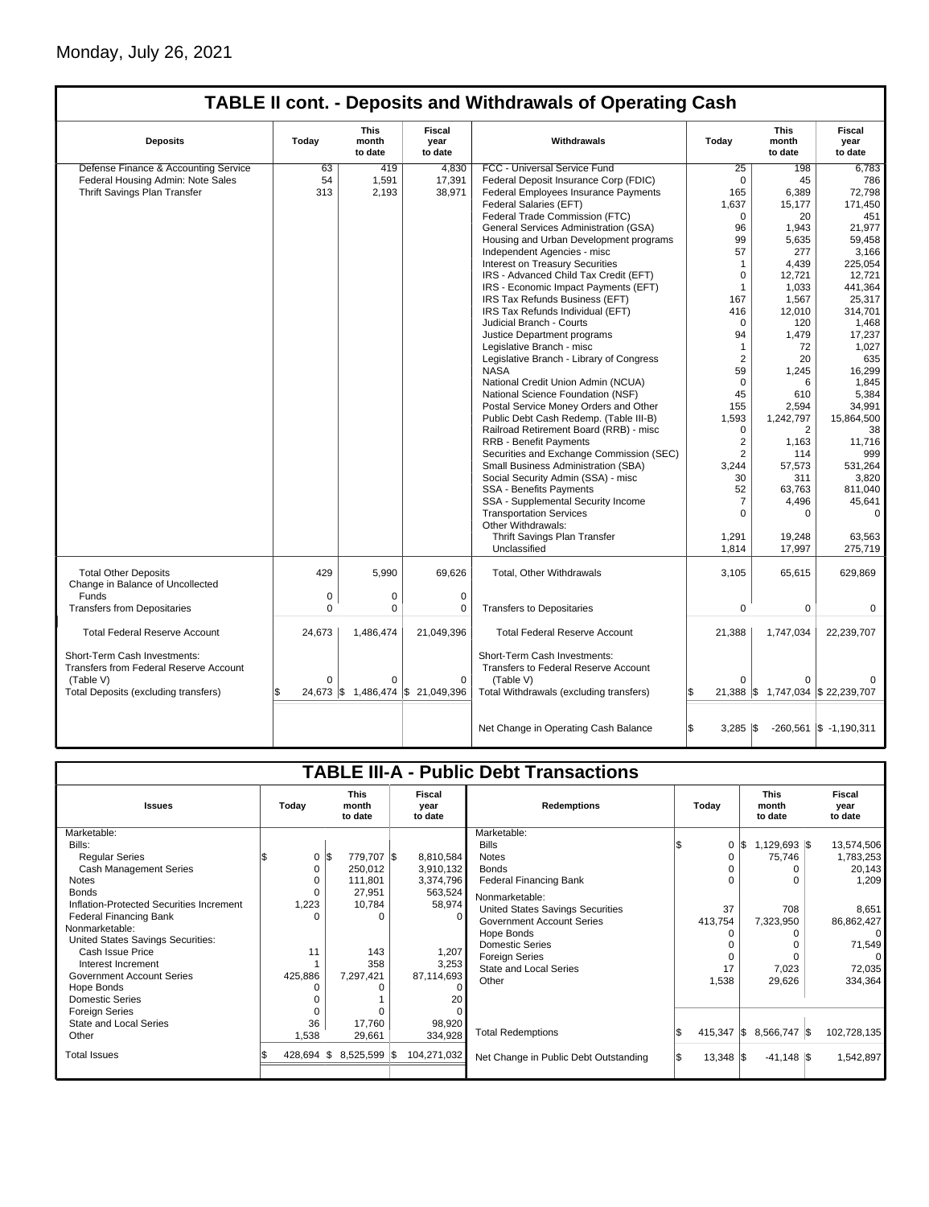|                                                                               |          |                          |                                   | <b>TABLE II cont. - Deposits and Withdrawals of Operating Cash</b>   |                   |                                   |                                  |
|-------------------------------------------------------------------------------|----------|--------------------------|-----------------------------------|----------------------------------------------------------------------|-------------------|-----------------------------------|----------------------------------|
| <b>Deposits</b>                                                               | Today    | This<br>month<br>to date | <b>Fiscal</b><br>year<br>to date  | Withdrawals                                                          |                   | This<br>month<br>to date          | <b>Fiscal</b><br>year<br>to date |
| Defense Finance & Accounting Service                                          | 63       | 419                      | 4,830                             | FCC - Universal Service Fund                                         | 25                | 198                               | 6.783                            |
| Federal Housing Admin: Note Sales                                             | 54       | 1,591                    | 17,391                            | Federal Deposit Insurance Corp (FDIC)                                | $\mathbf 0$       | 45                                | 786                              |
| Thrift Savings Plan Transfer                                                  | 313      | 2,193                    | 38,971                            | Federal Employees Insurance Payments                                 | 165               | 6,389                             | 72,798                           |
|                                                                               |          |                          |                                   | Federal Salaries (EFT)                                               | 1,637             | 15,177                            | 171,450                          |
|                                                                               |          |                          |                                   | Federal Trade Commission (FTC)                                       | $\Omega$          | 20                                | 451                              |
|                                                                               |          |                          |                                   | General Services Administration (GSA)                                | 96                | 1,943                             | 21,977                           |
|                                                                               |          |                          |                                   | Housing and Urban Development programs                               | 99                | 5,635                             | 59,458                           |
|                                                                               |          |                          |                                   | Independent Agencies - misc                                          | 57                | 277                               | 3,166                            |
|                                                                               |          |                          |                                   | <b>Interest on Treasury Securities</b>                               | $\mathbf{1}$      | 4,439                             | 225,054                          |
|                                                                               |          |                          |                                   | IRS - Advanced Child Tax Credit (EFT)                                | $\mathbf 0$       | 12,721                            | 12,721                           |
|                                                                               |          |                          |                                   | IRS - Economic Impact Payments (EFT)                                 | $\mathbf{1}$      | 1,033                             | 441,364                          |
|                                                                               |          |                          |                                   | IRS Tax Refunds Business (EFT)                                       | 167               | 1,567                             | 25,317                           |
|                                                                               |          |                          |                                   | IRS Tax Refunds Individual (EFT)                                     | 416               | 12,010                            | 314,701                          |
|                                                                               |          |                          |                                   | Judicial Branch - Courts                                             | $\Omega$          | 120                               | 1,468                            |
|                                                                               |          |                          |                                   | Justice Department programs                                          | 94                | 1,479                             | 17,237                           |
|                                                                               |          |                          |                                   |                                                                      | $\mathbf{1}$      | 72                                |                                  |
|                                                                               |          |                          |                                   | Legislative Branch - misc                                            |                   |                                   | 1,027                            |
|                                                                               |          |                          |                                   | Legislative Branch - Library of Congress                             | 2                 | 20                                | 635                              |
|                                                                               |          |                          |                                   | <b>NASA</b>                                                          | 59                | 1,245                             | 16,299                           |
|                                                                               |          |                          |                                   | National Credit Union Admin (NCUA)                                   | $\Omega$          | 6                                 | 1,845                            |
|                                                                               |          |                          |                                   | National Science Foundation (NSF)                                    | 45                | 610                               | 5,384                            |
|                                                                               |          |                          |                                   | Postal Service Money Orders and Other                                | 155               | 2,594                             | 34,991                           |
|                                                                               |          |                          |                                   | Public Debt Cash Redemp. (Table III-B)                               | 1,593             | 1,242,797                         | 15,864,500                       |
|                                                                               |          |                          |                                   | Railroad Retirement Board (RRB) - misc                               | $\mathbf 0$       | 2                                 | 38                               |
|                                                                               |          |                          |                                   | <b>RRB - Benefit Payments</b>                                        | 2                 | 1,163                             | 11,716                           |
|                                                                               |          |                          |                                   | Securities and Exchange Commission (SEC)                             | 2                 | 114                               | 999                              |
|                                                                               |          |                          |                                   | Small Business Administration (SBA)                                  | 3.244             | 57,573                            | 531,264                          |
|                                                                               |          |                          |                                   | Social Security Admin (SSA) - misc                                   | 30                | 311                               | 3,820                            |
|                                                                               |          |                          |                                   | SSA - Benefits Payments                                              | 52                | 63,763                            | 811,040                          |
|                                                                               |          |                          |                                   | SSA - Supplemental Security Income                                   | 7                 | 4,496                             | 45,641                           |
|                                                                               |          |                          |                                   | <b>Transportation Services</b>                                       | $\Omega$          | 0                                 | $\mathbf 0$                      |
|                                                                               |          |                          |                                   | Other Withdrawals:                                                   |                   |                                   |                                  |
|                                                                               |          |                          |                                   | Thrift Savings Plan Transfer                                         | 1,291             | 19,248                            | 63,563                           |
|                                                                               |          |                          |                                   | Unclassified                                                         | 1,814             | 17,997                            | 275,719                          |
| <b>Total Other Deposits</b><br>Change in Balance of Uncollected               | 429      | 5.990                    | 69.626                            | Total, Other Withdrawals                                             | 3,105             | 65,615                            | 629,869                          |
| Funds                                                                         | 0        | $\mathbf 0$              | 0                                 |                                                                      |                   |                                   |                                  |
|                                                                               | 0        |                          |                                   |                                                                      |                   |                                   |                                  |
| <b>Transfers from Depositaries</b>                                            |          | 0                        | 0                                 | <b>Transfers to Depositaries</b>                                     | 0                 | 0                                 | 0                                |
| <b>Total Federal Reserve Account</b>                                          | 24,673   | 1,486,474                | 21,049,396                        | <b>Total Federal Reserve Account</b>                                 | 21,388            | 1,747,034                         | 22,239,707                       |
| Short-Term Cash Investments:<br><b>Transfers from Federal Reserve Account</b> |          |                          |                                   | Short-Term Cash Investments:<br>Transfers to Federal Reserve Account |                   |                                   |                                  |
| (Table V)                                                                     | $\Omega$ | $\Omega$                 | $\mathbf 0$                       | (Table V)                                                            | $\Omega$          |                                   |                                  |
| Total Deposits (excluding transfers)                                          | \$       |                          | 24,673 \$ 1,486,474 \$ 21,049,396 | Total Withdrawals (excluding transfers)                              |                   | 21,388 \$ 1,747,034 \$ 22,239,707 |                                  |
|                                                                               |          |                          |                                   |                                                                      |                   |                                   |                                  |
|                                                                               |          |                          |                                   | Net Change in Operating Cash Balance                                 | \$.<br>$3,285$ \$ |                                   | $-260,561$ \$ $-1,190,311$       |

| <b>TABLE III-A - Public Debt Transactions</b> |                                          |                                |                           |                    |                                         |  |                                 |                |                           |             |
|-----------------------------------------------|------------------------------------------|--------------------------------|---------------------------|--------------------|-----------------------------------------|--|---------------------------------|----------------|---------------------------|-------------|
|                                               |                                          |                                |                           |                    |                                         |  |                                 |                |                           |             |
| <b>Issues</b>                                 | <b>This</b><br>Today<br>month<br>to date |                                | Fiscal<br>year<br>to date | <b>Redemptions</b> | Today                                   |  | <b>This</b><br>month<br>to date |                | Fiscal<br>year<br>to date |             |
| Marketable:                                   |                                          |                                |                           |                    | Marketable:                             |  |                                 |                |                           |             |
| Bills:                                        |                                          |                                |                           |                    | <b>Bills</b>                            |  | $\mathbf 0$                     | $1,129,693$ \$ |                           | 13,574,506  |
| <b>Regular Series</b>                         |                                          | $0 \,$ $\upbeta$<br>779,707 \$ |                           | 8,810,584          | <b>Notes</b>                            |  | 0                               | 75,746         |                           | 1,783,253   |
| Cash Management Series                        | 0                                        | 250,012                        |                           | 3,910,132          | <b>Bonds</b>                            |  |                                 |                |                           | 20,143      |
| <b>Notes</b>                                  | 0                                        | 111,801                        |                           | 3,374,796          | Federal Financing Bank                  |  |                                 |                |                           | 1,209       |
| <b>Bonds</b>                                  | $\Omega$                                 | 27,951                         |                           | 563,524            | Nonmarketable:                          |  |                                 |                |                           |             |
| Inflation-Protected Securities Increment      | 1,223                                    | 10,784                         |                           | 58,974             | <b>United States Savings Securities</b> |  | 37                              | 708            |                           | 8,651       |
| <b>Federal Financing Bank</b>                 | $\Omega$                                 |                                |                           | $\Omega$           | <b>Government Account Series</b>        |  | 413,754                         | 7,323,950      |                           | 86,862,427  |
| Nonmarketable:                                |                                          |                                |                           |                    | Hope Bonds                              |  |                                 |                |                           |             |
| United States Savings Securities:             |                                          |                                |                           |                    | <b>Domestic Series</b>                  |  |                                 |                |                           | 71,549      |
| Cash Issue Price                              | 11                                       |                                | 143                       | 1,207              | <b>Foreign Series</b>                   |  |                                 |                |                           |             |
| Interest Increment                            |                                          |                                | 358                       | 3,253              | <b>State and Local Series</b>           |  | 17                              | 7,023          |                           | 72,035      |
| <b>Government Account Series</b>              | 425,886                                  | 7,297,421                      |                           | 87,114,693         | Other                                   |  | 1,538                           | 29,626         |                           | 334,364     |
| Hope Bonds                                    | $\Omega$                                 |                                |                           |                    |                                         |  |                                 |                |                           |             |
| <b>Domestic Series</b>                        |                                          |                                |                           | 20                 |                                         |  |                                 |                |                           |             |
| <b>Foreign Series</b>                         | $\Omega$                                 |                                |                           |                    |                                         |  |                                 |                |                           |             |
| <b>State and Local Series</b>                 | 36                                       | 17,760                         |                           | 98,920             |                                         |  |                                 |                |                           |             |
| Other                                         | 1,538                                    | 29,661                         |                           | 334,928            | <b>Total Redemptions</b>                |  | $415,347$ $\sqrt{\$}$           | 8,566,747 \$   |                           | 102,728,135 |
| <b>Total Issues</b>                           | $428,694$ \$                             | $8,525,599$ \\$                |                           | 104,271,032        | Net Change in Public Debt Outstanding   |  | $13,348$ $\sqrt{5}$             | $-41,148$ \\$  |                           | 1,542,897   |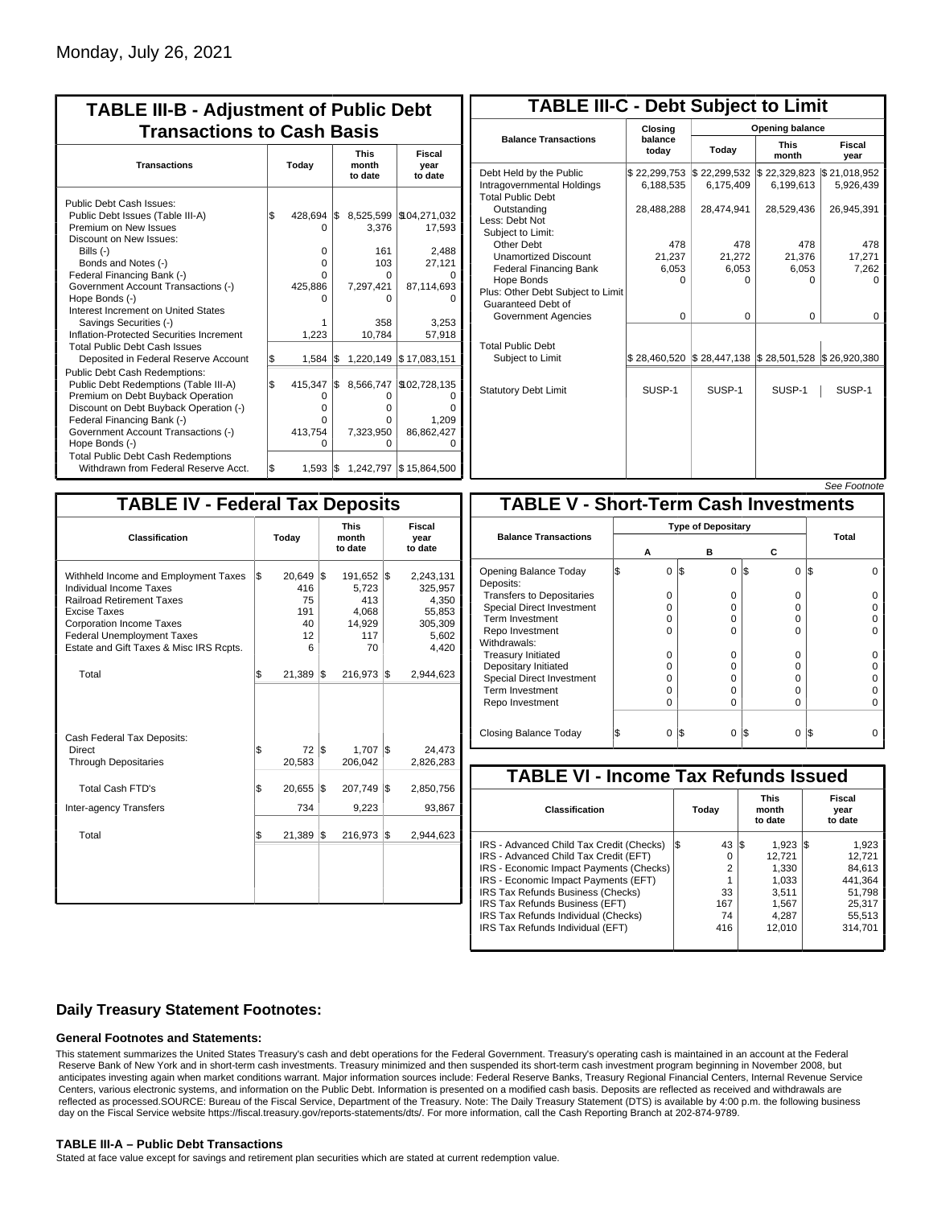| <b>TABLE III-B - Adjustment of Public Debt</b><br><b>Transactions to Cash Basis</b>                                                                                                                                                                                                                                                                                                              |     |                                                 |     |                                                                          |                                                                             |  |  |  |  |                                 |                           |
|--------------------------------------------------------------------------------------------------------------------------------------------------------------------------------------------------------------------------------------------------------------------------------------------------------------------------------------------------------------------------------------------------|-----|-------------------------------------------------|-----|--------------------------------------------------------------------------|-----------------------------------------------------------------------------|--|--|--|--|---------------------------------|---------------------------|
| <b>Transactions</b>                                                                                                                                                                                                                                                                                                                                                                              |     | Today                                           |     |                                                                          |                                                                             |  |  |  |  | <b>This</b><br>month<br>to date | Fiscal<br>year<br>to date |
| Public Debt Cash Issues:<br>Public Debt Issues (Table III-A)<br>Premium on New Issues<br>Discount on New Issues:<br>Bills (-)<br>Bonds and Notes (-)<br>Federal Financing Bank (-)<br>Government Account Transactions (-)<br>Hope Bonds (-)<br>Interest Increment on United States<br>Savings Securities (-)<br>Inflation-Protected Securities Increment<br><b>Total Public Debt Cash Issues</b> | \$  | 428,694<br>O<br>0<br>0<br>U<br>425,886<br>1,223 | l\$ | 8,525,599<br>3,376<br>161<br>103<br>O<br>7,297,421<br>o<br>358<br>10,784 | \$104,271,032<br>17,593<br>2,488<br>27,121<br>87,114,693<br>3.253<br>57,918 |  |  |  |  |                                 |                           |
| Deposited in Federal Reserve Account                                                                                                                                                                                                                                                                                                                                                             | \$  | 1,584                                           | l\$ | 1,220,149                                                                | \$17,083,151                                                                |  |  |  |  |                                 |                           |
| <b>Public Debt Cash Redemptions:</b><br>Public Debt Redemptions (Table III-A)<br>Premium on Debt Buyback Operation<br>Discount on Debt Buyback Operation (-)<br>Federal Financing Bank (-)<br>Government Account Transactions (-)<br>Hope Bonds (-)<br><b>Total Public Debt Cash Redemptions</b>                                                                                                 | l\$ | 415,347<br>0<br>$\Omega$<br>0<br>413,754<br>O   | I\$ | 8,566,747<br>O<br>o<br>0<br>7,323,950<br>0                               | \$102,728,135<br>Ω<br>ŋ<br>1,209<br>86,862,427<br>O                         |  |  |  |  |                                 |                           |
| Withdrawn from Federal Reserve Acct.                                                                                                                                                                                                                                                                                                                                                             | l\$ | 1.593                                           | I\$ |                                                                          | 1,242,797 \$15,864,500                                                      |  |  |  |  |                                 |                           |

| <b>TABLE III-C - Debt Subject to Limit</b>                                        |                           |                                                                            |                           |                           |  |  |  |  |  |  |
|-----------------------------------------------------------------------------------|---------------------------|----------------------------------------------------------------------------|---------------------------|---------------------------|--|--|--|--|--|--|
|                                                                                   | Closing                   | <b>Opening balance</b>                                                     |                           |                           |  |  |  |  |  |  |
| <b>Balance Transactions</b>                                                       | balance<br>todav          | Today                                                                      | <b>This</b><br>month      | Fiscal<br>year            |  |  |  |  |  |  |
| Debt Held by the Public<br>Intragovernmental Holdings<br><b>Total Public Debt</b> | \$22,299,753<br>6,188,535 | \$22,299,532<br>6.175.409                                                  | \$22,329,823<br>6.199.613 | \$21,018,952<br>5,926,439 |  |  |  |  |  |  |
| Outstanding<br>Less: Debt Not<br>Subiect to Limit:                                | 28,488,288                | 28,474,941                                                                 | 28,529,436                | 26,945,391                |  |  |  |  |  |  |
| Other Debt                                                                        | 478                       | 478                                                                        | 478                       | 478                       |  |  |  |  |  |  |
| <b>Unamortized Discount</b>                                                       | 21,237                    | 21,272                                                                     | 21,376                    | 17,271                    |  |  |  |  |  |  |
| <b>Federal Financing Bank</b>                                                     | 6,053                     | 6,053                                                                      | 6,053                     | 7,262                     |  |  |  |  |  |  |
| Hope Bonds<br>Plus: Other Debt Subject to Limit<br>Guaranteed Debt of             | 0                         | 0                                                                          | 0                         | o                         |  |  |  |  |  |  |
| Government Agencies                                                               | $\Omega$                  | $\Omega$                                                                   | $\Omega$                  | 0                         |  |  |  |  |  |  |
| <b>Total Public Debt</b><br>Subject to Limit                                      |                           | $\frac{1}{2}$ 28,460,520 $\frac{1}{2}$ 28,447,138 $\frac{1}{2}$ 28,501,528 |                           | \$26,920,380              |  |  |  |  |  |  |
| <b>Statutory Debt Limit</b>                                                       | SUSP-1                    | SUSP-1                                                                     | SUSP-1                    | SUSP-1                    |  |  |  |  |  |  |
|                                                                                   |                           |                                                                            |                           |                           |  |  |  |  |  |  |

| See Footnote |
|--------------|
|--------------|

| <b>TABLE IV - Federal Tax Deposits</b>                                                                                                                                                                                                 |    |                                                  |                                 |                                                            |     |                                                                      |  |  |  |  |
|----------------------------------------------------------------------------------------------------------------------------------------------------------------------------------------------------------------------------------------|----|--------------------------------------------------|---------------------------------|------------------------------------------------------------|-----|----------------------------------------------------------------------|--|--|--|--|
| Classification                                                                                                                                                                                                                         |    | Today                                            | <b>This</b><br>month<br>to date |                                                            |     | Fiscal<br>year<br>to date                                            |  |  |  |  |
| Withheld Income and Employment Taxes<br>Individual Income Taxes<br><b>Railroad Retirement Taxes</b><br>Excise Taxes<br><b>Corporation Income Taxes</b><br><b>Federal Unemployment Taxes</b><br>Estate and Gift Taxes & Misc IRS Rcpts. | ls | $20,649$ \$<br>416<br>75<br>191<br>40<br>12<br>6 |                                 | 191,652 \$<br>5,723<br>413<br>4.068<br>14,929<br>117<br>70 |     | 2,243,131<br>325,957<br>4,350<br>55,853<br>305,309<br>5,602<br>4,420 |  |  |  |  |
| Total                                                                                                                                                                                                                                  | \$ | 21,389                                           | 1\$                             | 216,973                                                    | 1\$ | 2,944,623                                                            |  |  |  |  |
| Cash Federal Tax Deposits:<br>Direct<br><b>Through Depositaries</b>                                                                                                                                                                    | \$ | 72<br>20,583                                     | l\$                             | $1,707$ \$<br>206,042                                      |     | 24,473<br>2,826,283                                                  |  |  |  |  |
| <b>Total Cash FTD's</b>                                                                                                                                                                                                                | Ŝ. | 20,655                                           | 1\$                             | 207,749                                                    | 1\$ | 2,850,756                                                            |  |  |  |  |
| <b>Inter-agency Transfers</b>                                                                                                                                                                                                          |    | 734                                              |                                 | 9,223                                                      |     | 93,867                                                               |  |  |  |  |
| Total                                                                                                                                                                                                                                  | \$ | 21,389                                           | 1\$                             | 216,973                                                    | l\$ | 2,944,623                                                            |  |  |  |  |
|                                                                                                                                                                                                                                        |    |                                                  |                                 |                                                            |     |                                                                      |  |  |  |  |

|                                              |   |   |     |          |          | OCC I UUUIUIG |  |  |  |
|----------------------------------------------|---|---|-----|----------|----------|---------------|--|--|--|
| <b>TABLE V - Short-Term Cash Investments</b> |   |   |     |          |          |               |  |  |  |
|                                              |   |   |     |          |          |               |  |  |  |
| <b>Balance Transactions</b>                  | А |   |     | в        | С        | Total         |  |  |  |
| Opening Balance Today<br>Deposits:           | S | 0 | 1\$ | $\Omega$ | 0<br>1\$ | l\$           |  |  |  |
| <b>Transfers to Depositaries</b>             |   | O |     | $\Omega$ | O        |               |  |  |  |
| Special Direct Investment                    |   | O |     | 0        | 0        |               |  |  |  |
| Term Investment                              |   | O |     | 0        | 0        |               |  |  |  |
| Repo Investment                              |   | O |     | $\Omega$ | O        |               |  |  |  |
| Withdrawals:                                 |   |   |     |          |          |               |  |  |  |
| <b>Treasury Initiated</b>                    |   | O |     | 0        | 0        |               |  |  |  |
| Depositary Initiated                         |   | O |     | 0        | 0        |               |  |  |  |
| <b>Special Direct Investment</b>             |   | Ω |     | 0        | O        |               |  |  |  |
| <b>Term Investment</b>                       |   | O |     | $\Omega$ | O        |               |  |  |  |
| Repo Investment                              |   | 0 |     | $\Omega$ | 0        |               |  |  |  |
|                                              |   |   |     |          |          |               |  |  |  |
| Closing Balance Today                        |   | 0 | I\$ | 0        | I\$<br>0 | l\$           |  |  |  |

| <b>TABLE VI - Income Tax Refunds Issued</b> |     |       |     |                                 |  |                           |  |  |  |  |
|---------------------------------------------|-----|-------|-----|---------------------------------|--|---------------------------|--|--|--|--|
| Classification                              |     | Today |     | <b>This</b><br>month<br>to date |  | Fiscal<br>year<br>to date |  |  |  |  |
| IRS - Advanced Child Tax Credit (Checks)    | I\$ | 43    | 1\$ | $1.923$ $\sqrt{5}$              |  | 1,923                     |  |  |  |  |
| IRS - Advanced Child Tax Credit (EFT)       |     | 0     |     | 12.721                          |  | 12,721                    |  |  |  |  |
| IRS - Economic Impact Payments (Checks)     |     | 2     |     | 1.330                           |  | 84.613                    |  |  |  |  |
| IRS - Economic Impact Payments (EFT)        |     | 1     |     | 1.033                           |  | 441.364                   |  |  |  |  |
| IRS Tax Refunds Business (Checks)           |     | 33    |     | 3.511                           |  | 51.798                    |  |  |  |  |
| IRS Tax Refunds Business (EFT)              |     | 167   |     | 1,567                           |  | 25.317                    |  |  |  |  |
| IRS Tax Refunds Individual (Checks)         |     | 74    |     | 4.287                           |  | 55,513                    |  |  |  |  |
| IRS Tax Refunds Individual (EFT)            |     | 416   |     | 12,010                          |  | 314.701                   |  |  |  |  |
|                                             |     |       |     |                                 |  |                           |  |  |  |  |

### **Daily Treasury Statement Footnotes:**

#### **General Footnotes and Statements:**

This statement summarizes the United States Treasury's cash and debt operations for the Federal Government. Treasury's operating cash is maintained in an account at the Federal Reserve Bank of New York and in short-term cash investments. Treasury minimized and then suspended its short-term cash investment program beginning in November 2008, but anticipates investing again when market conditions warrant. Major information sources include: Federal Reserve Banks, Treasury Regional Financial Centers, Internal Revenue Service Centers, various electronic systems, and information on the Public Debt. Information is presented on a modified cash basis. Deposits are reflected as received and withdrawals are reflected as processed.SOURCE: Bureau of the Fiscal Service, Department of the Treasury. Note: The Daily Treasury Statement (DTS) is available by 4:00 p.m. the following business day on the Fiscal Service website https://fiscal.treasury.gov/reports-statements/dts/. For more information, call the Cash Reporting Branch at 202-874-9789.

#### **TABLE III-A – Public Debt Transactions**

Stated at face value except for savings and retirement plan securities which are stated at current redemption value.